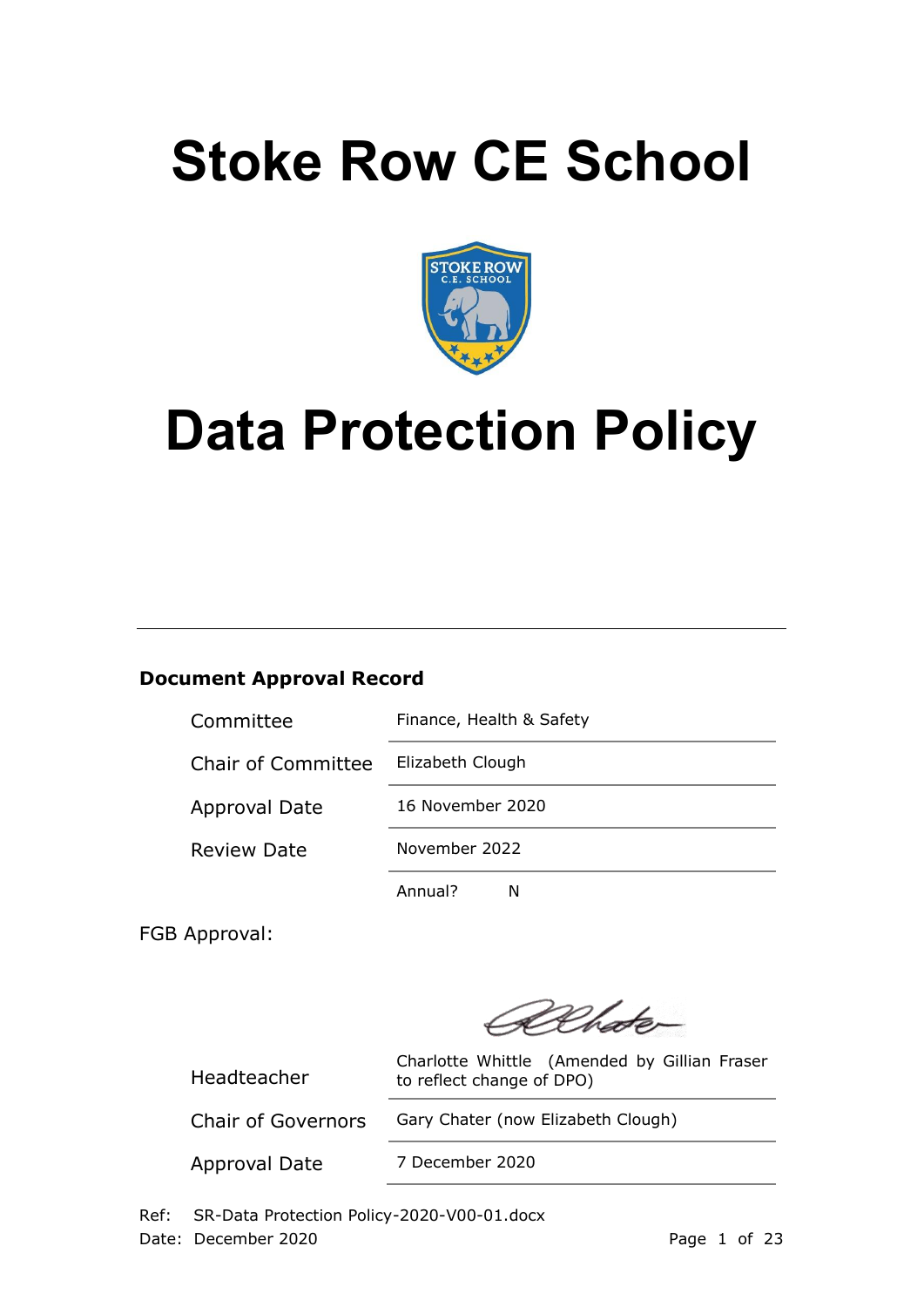# **Stoke Row CE School**



# **Data Protection Policy**

# **Document Approval Record**

| Committee                 | Finance, Health & Safety |  |
|---------------------------|--------------------------|--|
| <b>Chair of Committee</b> | Elizabeth Clough         |  |
| <b>Approval Date</b>      | 16 November 2020         |  |
| <b>Review Date</b>        | November 2022            |  |
|                           | Annual?                  |  |

FGB Approval:

Dehater

Headteacher

Charlotte Whittle (Amended by Gillian Fraser to reflect change of DPO)

Chair of Governors Gary Chater (now Elizabeth Clough)

Approval Date 7 December 2020

Ref: SR-Data Protection Policy-2020-V00-01.docx Date: December 2020 **Page 1 of 23**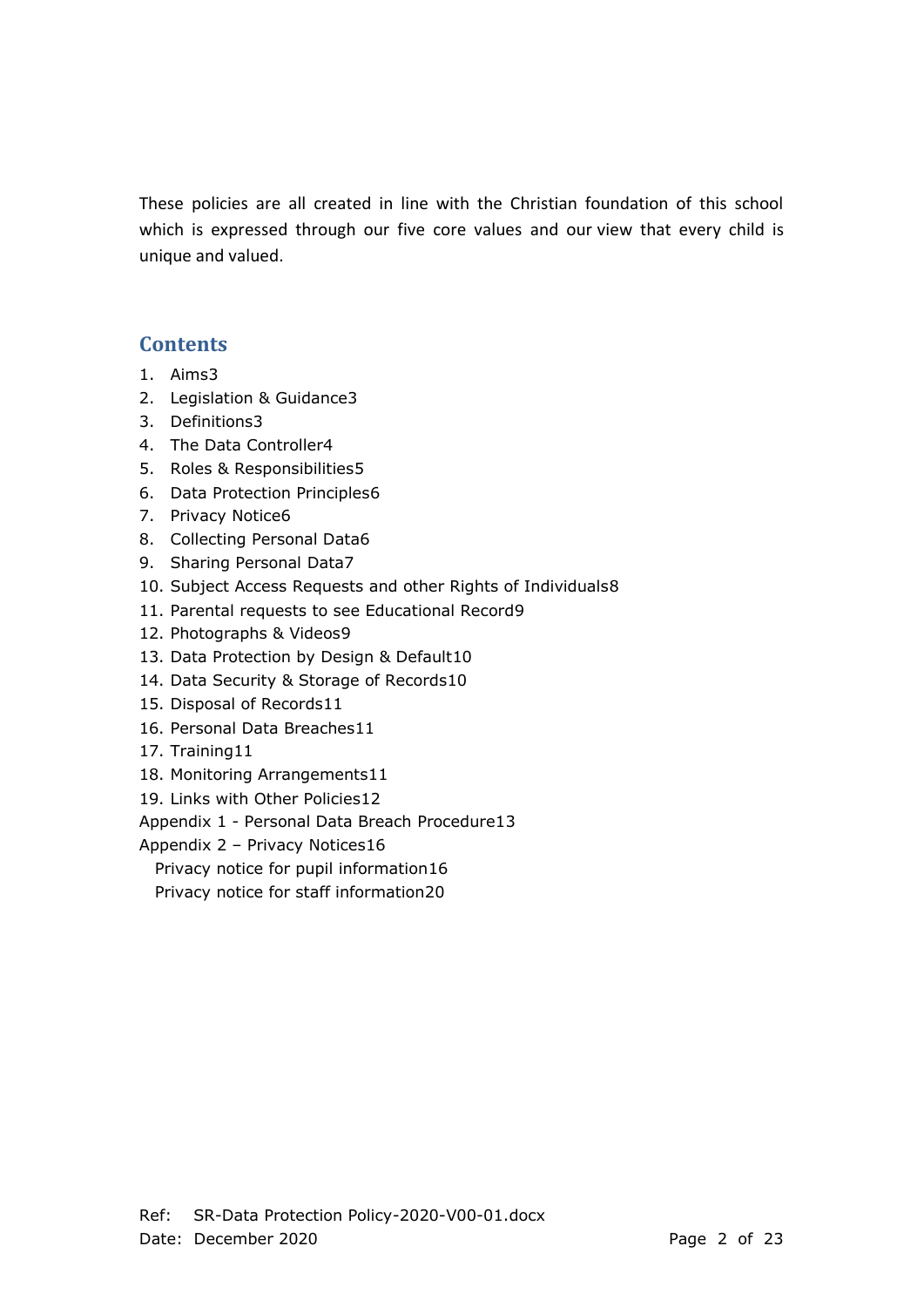These policies are all created in line with the Christian foundation of this school which is expressed through our five core values and our view that every child is unique and valued.

# **Contents**

- 1. Aims3
- 2. Legislation & Guidance3
- 3. Definitions3
- 4. The Data Controller4
- 5. Roles & Responsibilities5
- 6. Data Protection Principles6
- 7. Privacy Notice6
- 8. Collecting Personal Data6
- 9. Sharing Personal Data7
- 10. Subject Access Requests and other Rights of Individuals8
- 11. Parental requests to see Educational Record9
- 12. Photographs & Videos9
- 13. Data Protection by Design & Default10
- 14. Data Security & Storage of Records10
- 15. Disposal of Records11
- 16. Personal Data Breaches11
- 17. Training11
- 18. Monitoring Arrangements11
- 19. Links with Other Policies12

Appendix 1 - Personal Data Breach Procedure13

Appendix 2 – Privacy Notices16

Privacy notice for pupil information16

Privacy notice for staff information20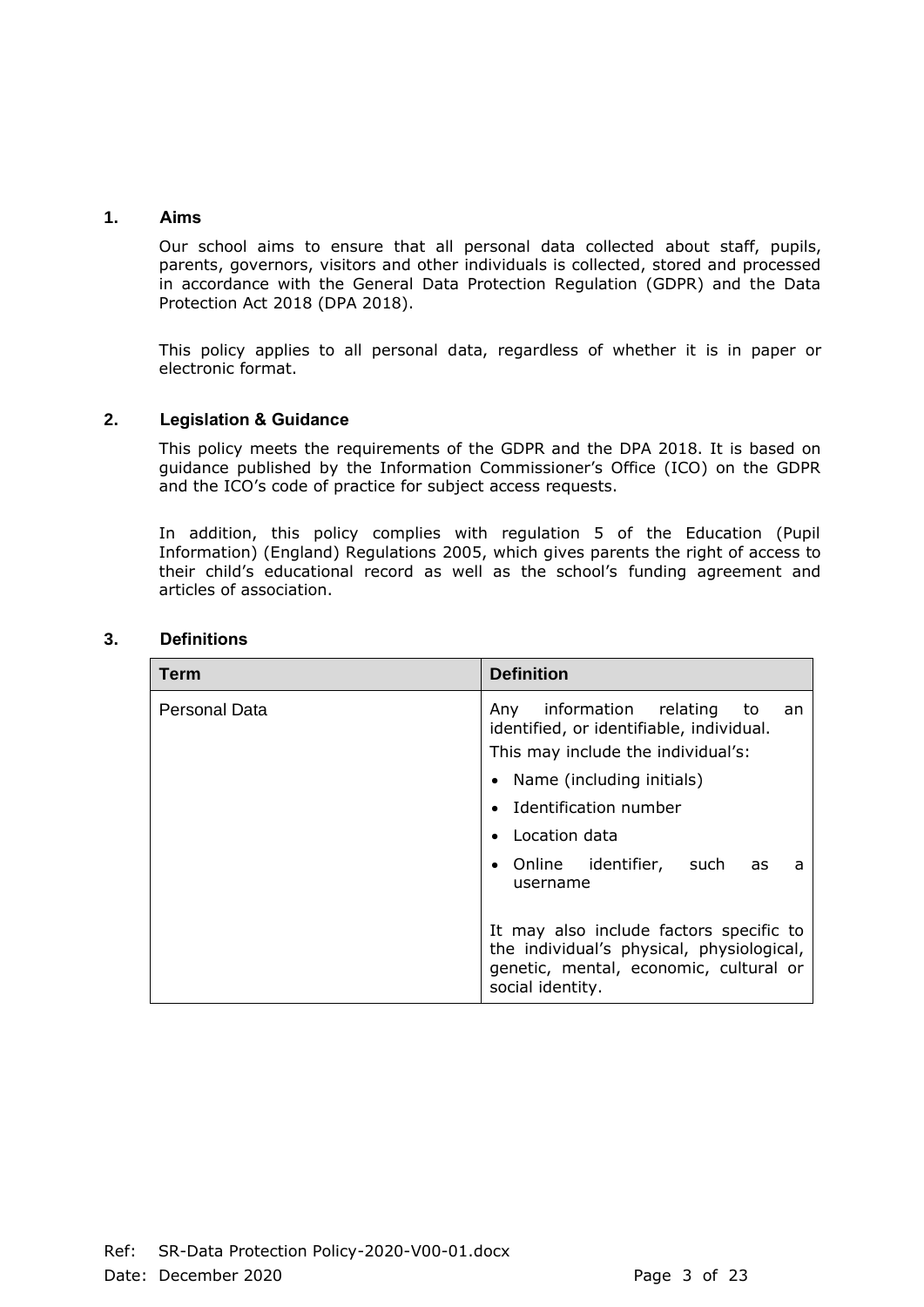# **1. Aims**

Our school aims to ensure that all personal data collected about staff, pupils, parents, governors, visitors and other individuals is collected, stored and processed in accordance with the General Data Protection Regulation (GDPR) and the Data Protection Act 2018 (DPA 2018).

This policy applies to all personal data, regardless of whether it is in paper or electronic format.

# **2. Legislation & Guidance**

This policy meets the requirements of the GDPR and the DPA 2018. It is based on guidance published by the Information Commissioner's Office (ICO) on the GDPR and the ICO's code of practice for subject access requests.

In addition, this policy complies with regulation 5 of the Education (Pupil Information) (England) Regulations 2005, which gives parents the right of access to their child's educational record as well as the school's funding agreement and articles of association.

| Term          | <b>Definition</b>                                                                                                                                         |
|---------------|-----------------------------------------------------------------------------------------------------------------------------------------------------------|
| Personal Data | information relating<br>Any<br>to.<br>an<br>identified, or identifiable, individual.<br>This may include the individual's:<br>• Name (including initials) |
|               | Identification number                                                                                                                                     |
|               | Location data                                                                                                                                             |
|               | • Online identifier, such as<br>a<br>username                                                                                                             |
|               | It may also include factors specific to<br>the individual's physical, physiological,<br>genetic, mental, economic, cultural or<br>social identity.        |

#### **3. Definitions**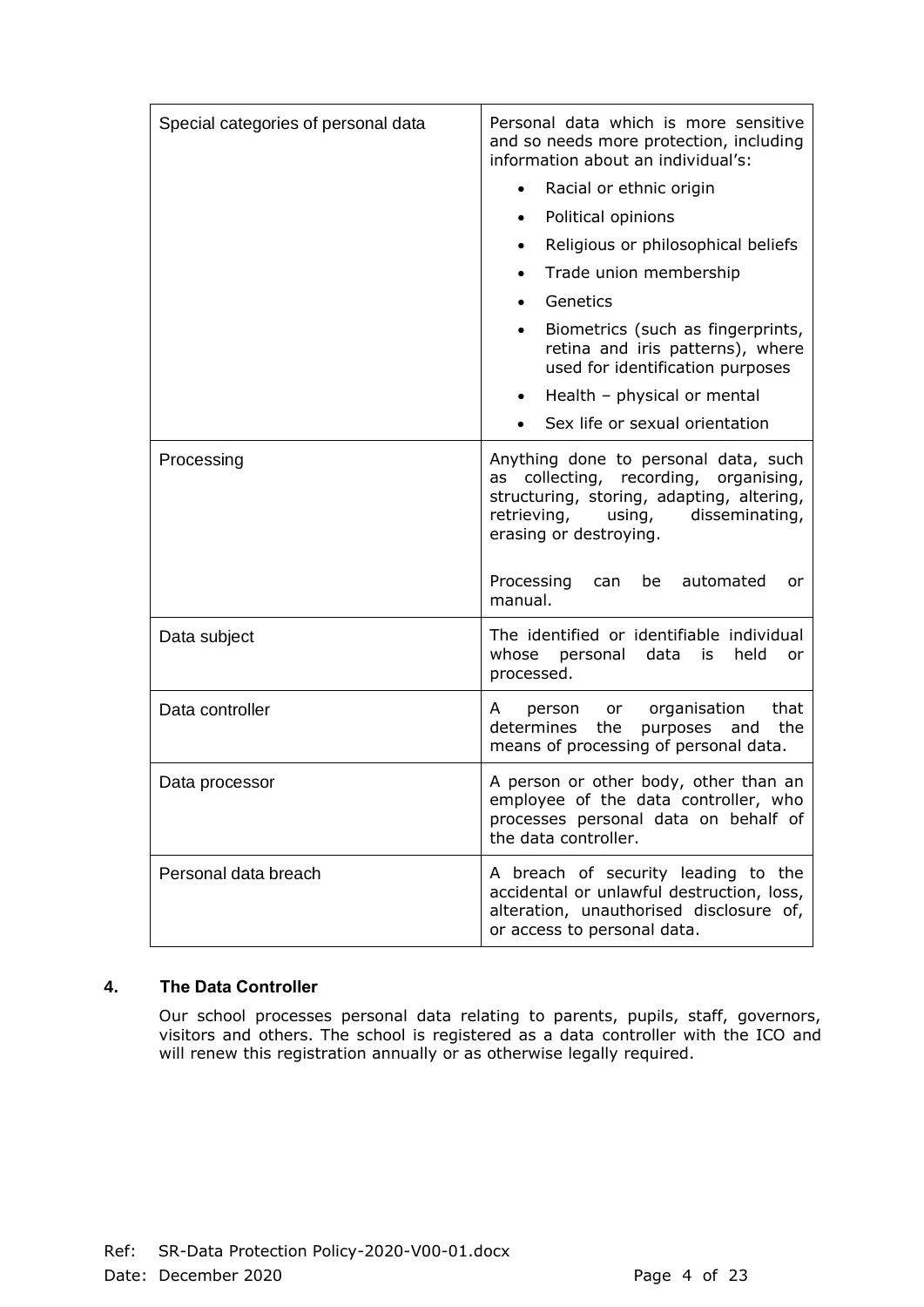| Special categories of personal data | Personal data which is more sensitive<br>and so needs more protection, including<br>information about an individual's:<br>Racial or ethnic origin<br>Political opinions<br>Religious or philosophical beliefs<br>Trade union membership<br>Genetics<br>Biometrics (such as fingerprints,<br>$\bullet$<br>retina and iris patterns), where<br>used for identification purposes<br>Health - physical or mental<br>Sex life or sexual orientation |
|-------------------------------------|------------------------------------------------------------------------------------------------------------------------------------------------------------------------------------------------------------------------------------------------------------------------------------------------------------------------------------------------------------------------------------------------------------------------------------------------|
| Processing                          | Anything done to personal data, such<br>collecting, recording, organising,<br>as<br>structuring, storing, adapting, altering,<br>retrieving,<br>disseminating,<br>using,<br>erasing or destroying.<br>Processing<br>automated<br>can<br>be<br>or<br>manual.                                                                                                                                                                                    |
| Data subject                        | The identified or identifiable individual<br>whose<br>personal<br>data<br>held<br>is<br>or<br>processed.                                                                                                                                                                                                                                                                                                                                       |
| Data controller                     | or organisation<br>that<br>person<br>A<br>determines<br>the<br>and<br>the<br>purposes<br>means of processing of personal data.                                                                                                                                                                                                                                                                                                                 |
| Data processor                      | A person or other body, other than an<br>employee of the data controller, who<br>processes personal data on behalf of<br>the data controller.                                                                                                                                                                                                                                                                                                  |
| Personal data breach                | A breach of security leading to the<br>accidental or unlawful destruction, loss,<br>alteration, unauthorised disclosure of,<br>or access to personal data.                                                                                                                                                                                                                                                                                     |

# **4. The Data Controller**

Our school processes personal data relating to parents, pupils, staff, governors, visitors and others. The school is registered as a data controller with the ICO and will renew this registration annually or as otherwise legally required.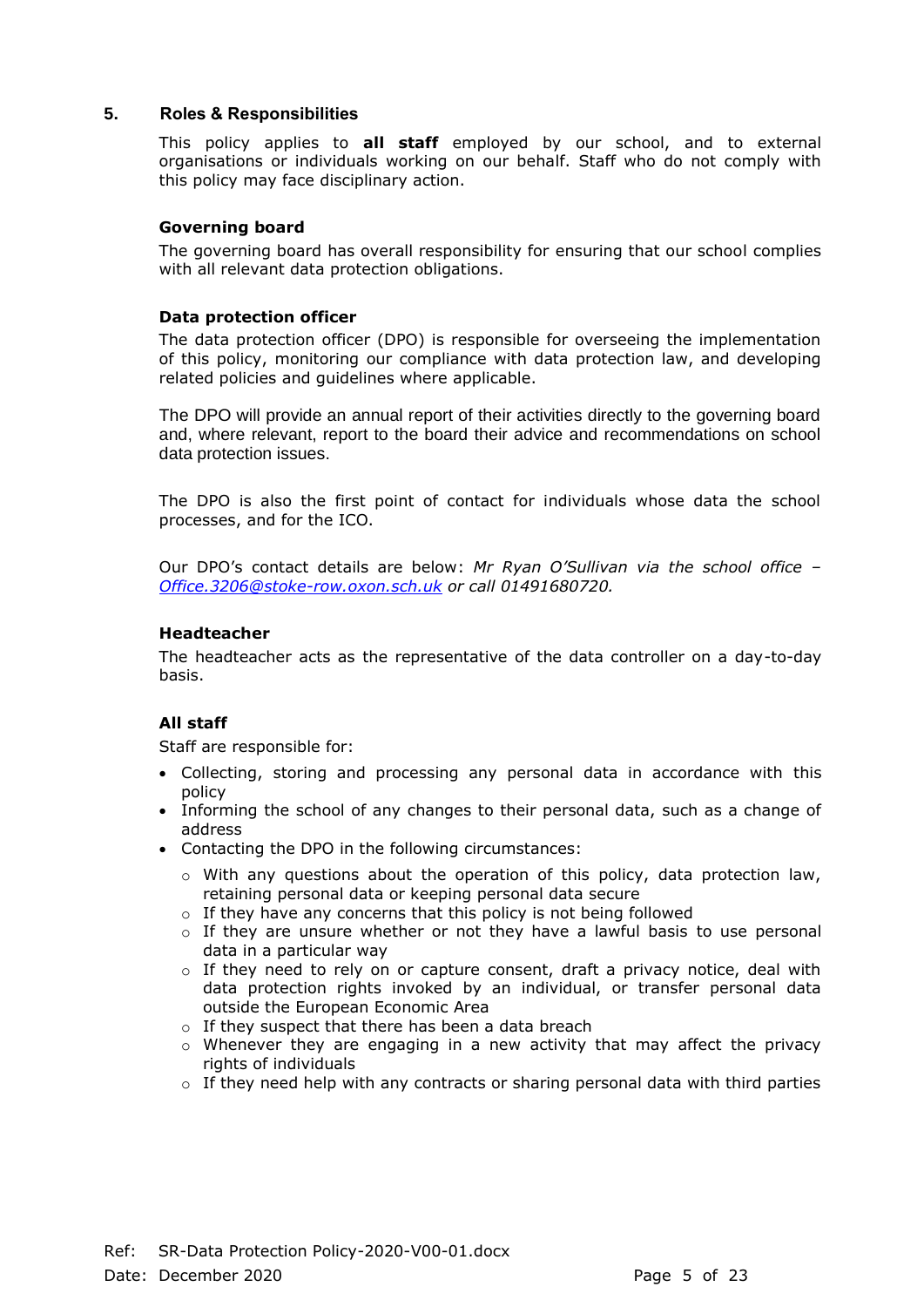# **5. Roles & Responsibilities**

This policy applies to **all staff** employed by our school, and to external organisations or individuals working on our behalf. Staff who do not comply with this policy may face disciplinary action.

# **Governing board**

The governing board has overall responsibility for ensuring that our school complies with all relevant data protection obligations.

#### **Data protection officer**

The data protection officer (DPO) is responsible for overseeing the implementation of this policy, monitoring our compliance with data protection law, and developing related policies and guidelines where applicable.

The DPO will provide an annual report of their activities directly to the governing board and, where relevant, report to the board their advice and recommendations on school data protection issues.

The DPO is also the first point of contact for individuals whose data the school processes, and for the ICO.

Our DPO's contact details are below: *Mr Ryan O'Sullivan via the school office – [Office.3206@stoke-row.oxon.sch.uk](mailto:Office.3206@stoke-row.oxon.sch.uk) or call 01491680720.*

#### **Headteacher**

The headteacher acts as the representative of the data controller on a day-to-day basis.

# **All staff**

Staff are responsible for:

- Collecting, storing and processing any personal data in accordance with this policy
- Informing the school of any changes to their personal data, such as a change of address
- Contacting the DPO in the following circumstances:
	- $\circ$  With any questions about the operation of this policy, data protection law, retaining personal data or keeping personal data secure
	- $\circ$  If they have any concerns that this policy is not being followed
	- $\circ$  If they are unsure whether or not they have a lawful basis to use personal data in a particular way
	- $\circ$  If they need to rely on or capture consent, draft a privacy notice, deal with data protection rights invoked by an individual, or transfer personal data outside the European Economic Area
	- o If they suspect that there has been a data breach
	- $\circ$  Whenever they are engaging in a new activity that may affect the privacy rights of individuals
	- $\circ$  If they need help with any contracts or sharing personal data with third parties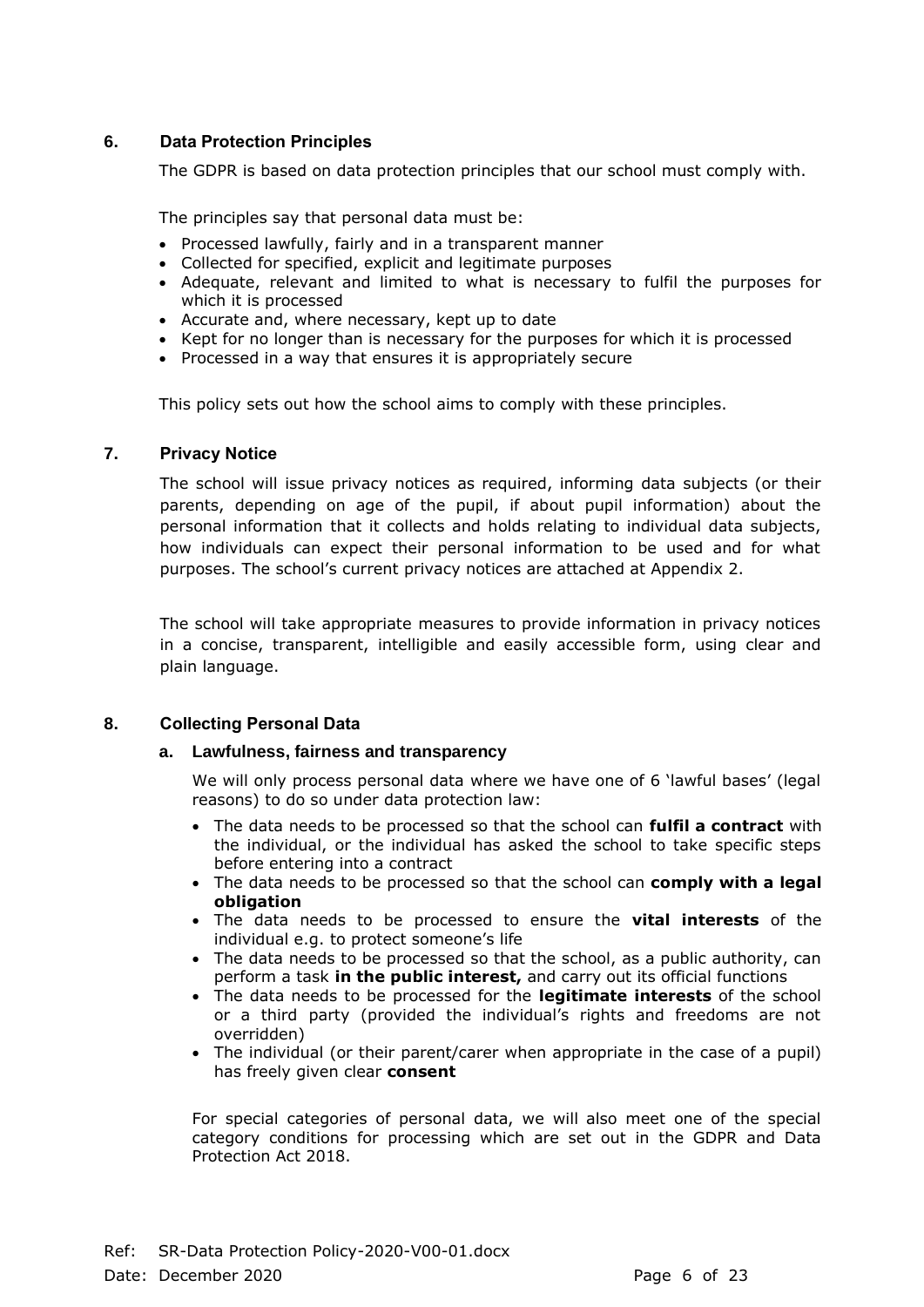# **6. Data Protection Principles**

The GDPR is based on data protection principles that our school must comply with.

The principles say that personal data must be:

- Processed lawfully, fairly and in a transparent manner
- Collected for specified, explicit and legitimate purposes
- Adequate, relevant and limited to what is necessary to fulfil the purposes for which it is processed
- Accurate and, where necessary, kept up to date
- Kept for no longer than is necessary for the purposes for which it is processed
- Processed in a way that ensures it is appropriately secure

This policy sets out how the school aims to comply with these principles.

# **7. Privacy Notice**

The school will issue privacy notices as required, informing data subjects (or their parents, depending on age of the pupil, if about pupil information) about the personal information that it collects and holds relating to individual data subjects, how individuals can expect their personal information to be used and for what purposes. The school's current privacy notices are attached at Appendix 2.

The school will take appropriate measures to provide information in privacy notices in a concise, transparent, intelligible and easily accessible form, using clear and plain language.

# **8. Collecting Personal Data**

#### **a. Lawfulness, fairness and transparency**

We will only process personal data where we have one of 6 'lawful bases' (legal reasons) to do so under data protection law:

- The data needs to be processed so that the school can **fulfil a contract** with the individual, or the individual has asked the school to take specific steps before entering into a contract
- The data needs to be processed so that the school can **comply with a legal obligation**
- The data needs to be processed to ensure the **vital interests** of the individual e.g. to protect someone's life
- The data needs to be processed so that the school, as a public authority, can perform a task **in the public interest,** and carry out its official functions
- The data needs to be processed for the **legitimate interests** of the school or a third party (provided the individual's rights and freedoms are not overridden)
- The individual (or their parent/carer when appropriate in the case of a pupil) has freely given clear **consent**

For special categories of personal data, we will also meet one of the special category conditions for processing which are set out in the GDPR and Data Protection Act 2018.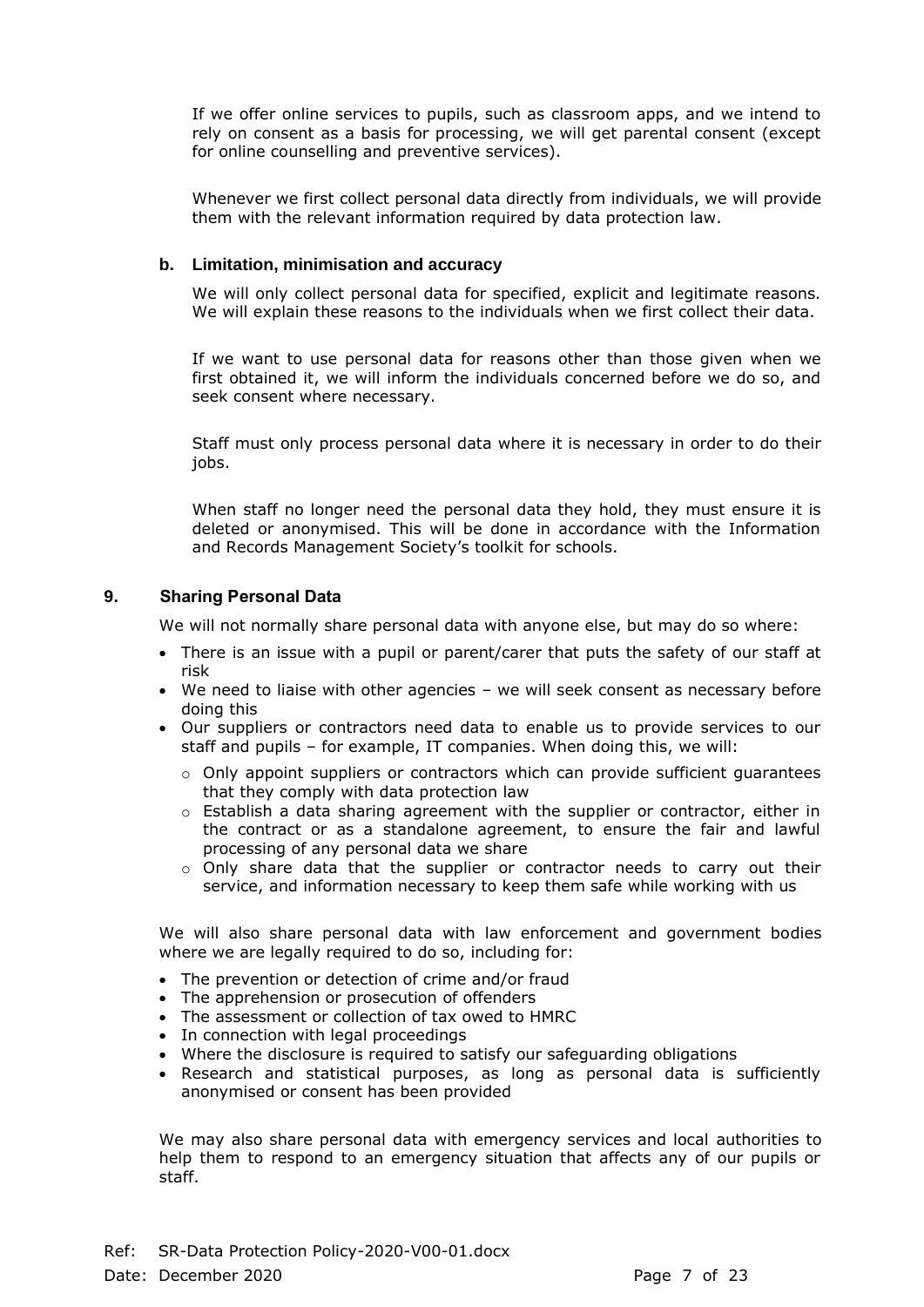If we offer online services to pupils, such as classroom apps, and we intend to rely on consent as a basis for processing, we will get parental consent (except for online counselling and preventive services).

Whenever we first collect personal data directly from individuals, we will provide them with the relevant information required by data protection law.

#### **b. Limitation, minimisation and accuracy**

We will only collect personal data for specified, explicit and legitimate reasons. We will explain these reasons to the individuals when we first collect their data.

If we want to use personal data for reasons other than those given when we first obtained it, we will inform the individuals concerned before we do so, and seek consent where necessary.

Staff must only process personal data where it is necessary in order to do their jobs.

When staff no longer need the personal data they hold, they must ensure it is deleted or anonymised. This will be done in accordance with the Information and Records Management Society's toolkit for schools.

# **9. Sharing Personal Data**

We will not normally share personal data with anyone else, but may do so where:

- There is an issue with a pupil or parent/carer that puts the safety of our staff at risk
- We need to liaise with other agencies we will seek consent as necessary before doing this
- Our suppliers or contractors need data to enable us to provide services to our staff and pupils – for example, IT companies. When doing this, we will:
	- o Only appoint suppliers or contractors which can provide sufficient guarantees that they comply with data protection law
	- o Establish a data sharing agreement with the supplier or contractor, either in the contract or as a standalone agreement, to ensure the fair and lawful processing of any personal data we share
	- $\circ$  Only share data that the supplier or contractor needs to carry out their service, and information necessary to keep them safe while working with us

We will also share personal data with law enforcement and government bodies where we are legally required to do so, including for:

- The prevention or detection of crime and/or fraud
- The apprehension or prosecution of offenders
- The assessment or collection of tax owed to HMRC
- In connection with legal proceedings
- Where the disclosure is required to satisfy our safeguarding obligations
- Research and statistical purposes, as long as personal data is sufficiently anonymised or consent has been provided

We may also share personal data with emergency services and local authorities to help them to respond to an emergency situation that affects any of our pupils or staff.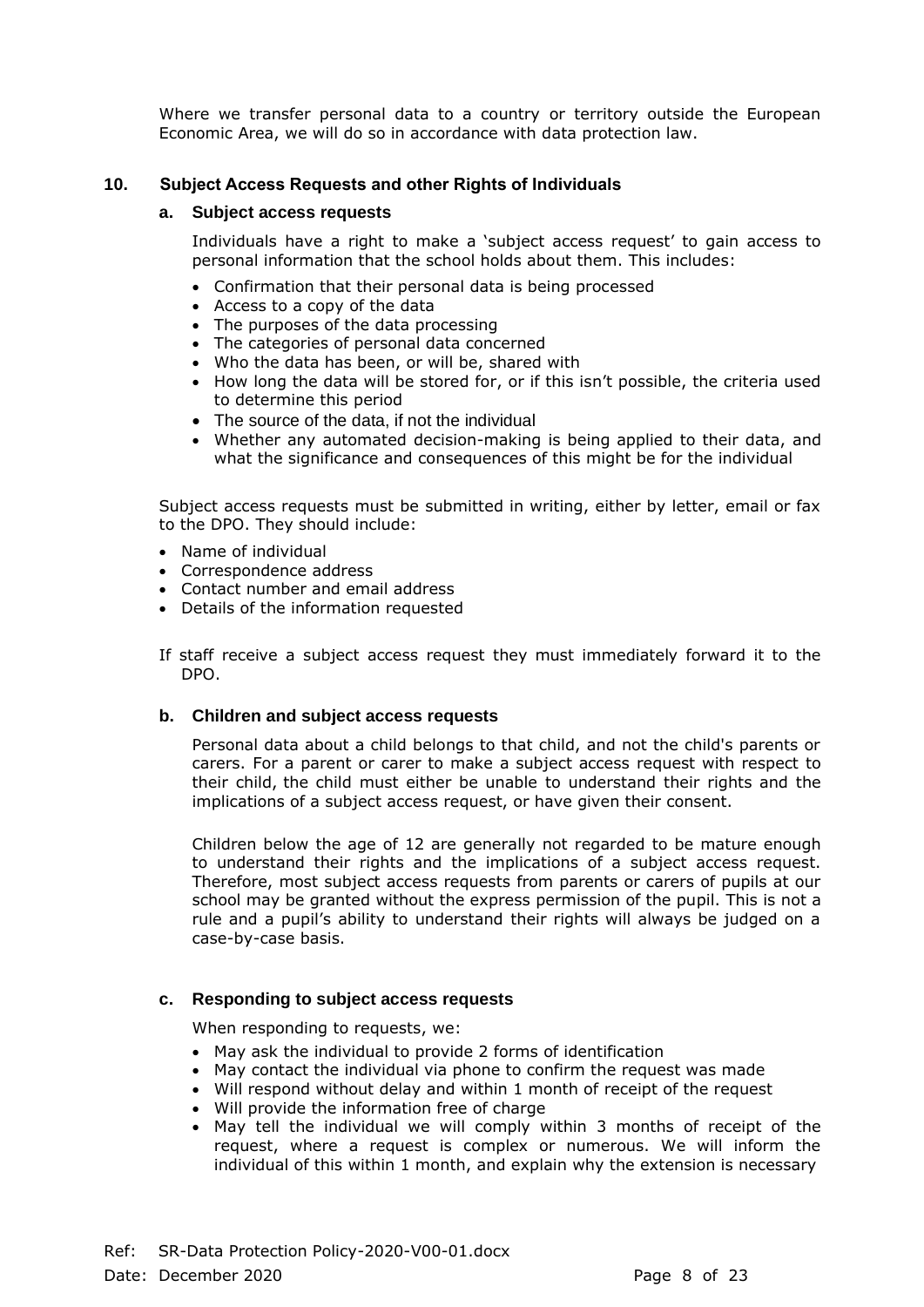Where we transfer personal data to a country or territory outside the European Economic Area, we will do so in accordance with data protection law.

# **10. Subject Access Requests and other Rights of Individuals**

#### **a. Subject access requests**

Individuals have a right to make a 'subject access request' to gain access to personal information that the school holds about them. This includes:

- Confirmation that their personal data is being processed
- Access to a copy of the data
- The purposes of the data processing
- The categories of personal data concerned
- Who the data has been, or will be, shared with
- How long the data will be stored for, or if this isn't possible, the criteria used to determine this period
- The source of the data, if not the individual
- Whether any automated decision-making is being applied to their data, and what the significance and consequences of this might be for the individual

Subject access requests must be submitted in writing, either by letter, email or fax to the DPO. They should include:

- Name of individual
- Correspondence address
- Contact number and email address
- Details of the information requested

If staff receive a subject access request they must immediately forward it to the DPO.

#### **b. Children and subject access requests**

Personal data about a child belongs to that child, and not the child's parents or carers. For a parent or carer to make a subject access request with respect to their child, the child must either be unable to understand their rights and the implications of a subject access request, or have given their consent.

Children below the age of 12 are generally not regarded to be mature enough to understand their rights and the implications of a subject access request. Therefore, most subject access requests from parents or carers of pupils at our school may be granted without the express permission of the pupil. This is not a rule and a pupil's ability to understand their rights will always be judged on a case-by-case basis.

#### **c. Responding to subject access requests**

When responding to requests, we:

- May ask the individual to provide 2 forms of identification
- May contact the individual via phone to confirm the request was made
- Will respond without delay and within 1 month of receipt of the request
- Will provide the information free of charge
- May tell the individual we will comply within 3 months of receipt of the request, where a request is complex or numerous. We will inform the individual of this within 1 month, and explain why the extension is necessary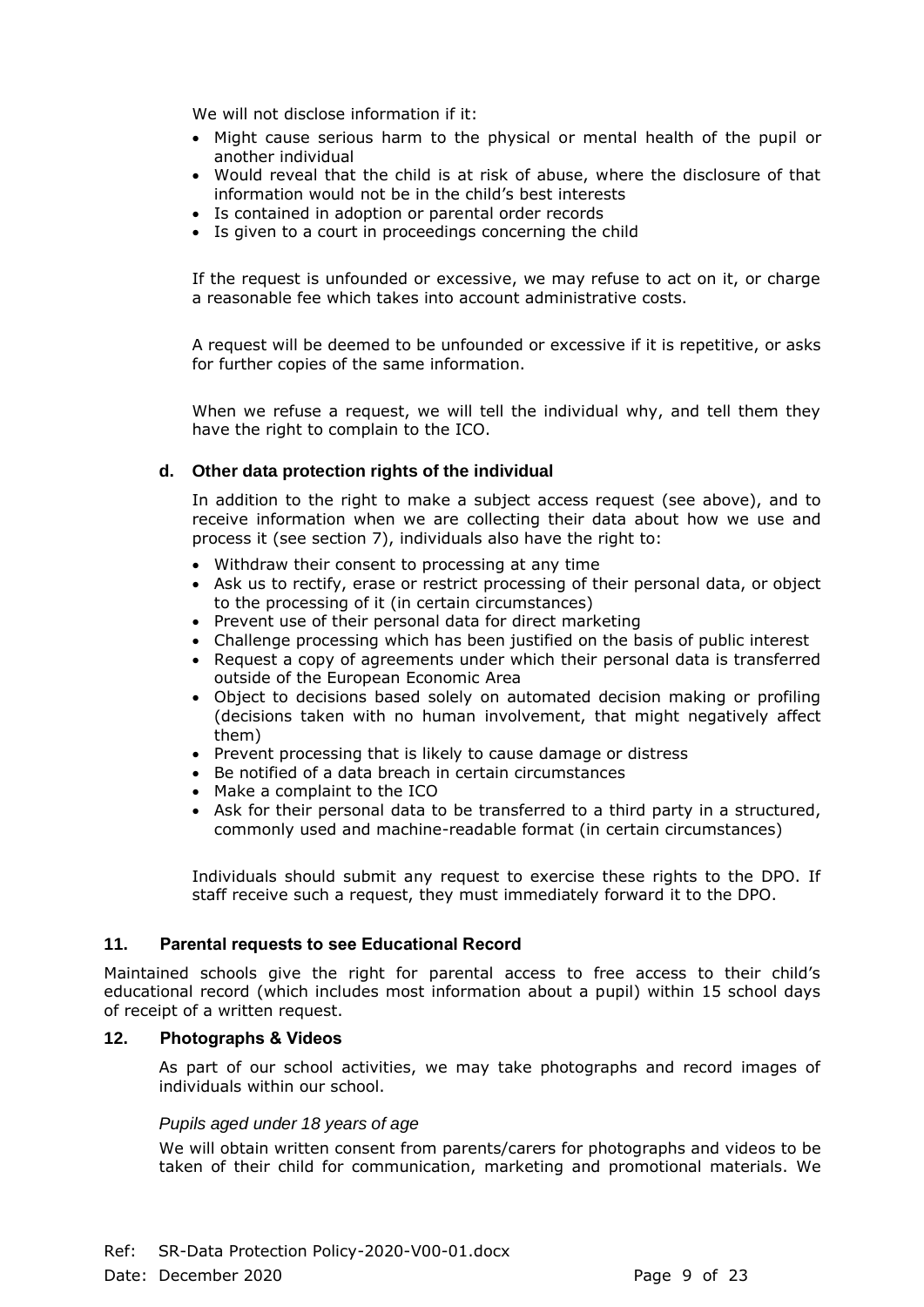We will not disclose information if it:

- Might cause serious harm to the physical or mental health of the pupil or another individual
- Would reveal that the child is at risk of abuse, where the disclosure of that information would not be in the child's best interests
- Is contained in adoption or parental order records
- Is given to a court in proceedings concerning the child

If the request is unfounded or excessive, we may refuse to act on it, or charge a reasonable fee which takes into account administrative costs.

A request will be deemed to be unfounded or excessive if it is repetitive, or asks for further copies of the same information.

When we refuse a request, we will tell the individual why, and tell them they have the right to complain to the ICO.

# **d. Other data protection rights of the individual**

In addition to the right to make a subject access request (see above), and to receive information when we are collecting their data about how we use and process it (see section 7), individuals also have the right to:

- Withdraw their consent to processing at any time
- Ask us to rectify, erase or restrict processing of their personal data, or object to the processing of it (in certain circumstances)
- Prevent use of their personal data for direct marketing
- Challenge processing which has been justified on the basis of public interest
- Request a copy of agreements under which their personal data is transferred outside of the European Economic Area
- Object to decisions based solely on automated decision making or profiling (decisions taken with no human involvement, that might negatively affect them)
- Prevent processing that is likely to cause damage or distress
- Be notified of a data breach in certain circumstances
- Make a complaint to the ICO
- Ask for their personal data to be transferred to a third party in a structured, commonly used and machine-readable format (in certain circumstances)

Individuals should submit any request to exercise these rights to the DPO. If staff receive such a request, they must immediately forward it to the DPO.

#### **11. Parental requests to see Educational Record**

Maintained schools give the right for parental access to free access to their child's educational record (which includes most information about a pupil) within 15 school days of receipt of a written request.

# **12. Photographs & Videos**

As part of our school activities, we may take photographs and record images of individuals within our school.

#### *Pupils aged under 18 years of age*

We will obtain written consent from parents/carers for photographs and videos to be taken of their child for communication, marketing and promotional materials. We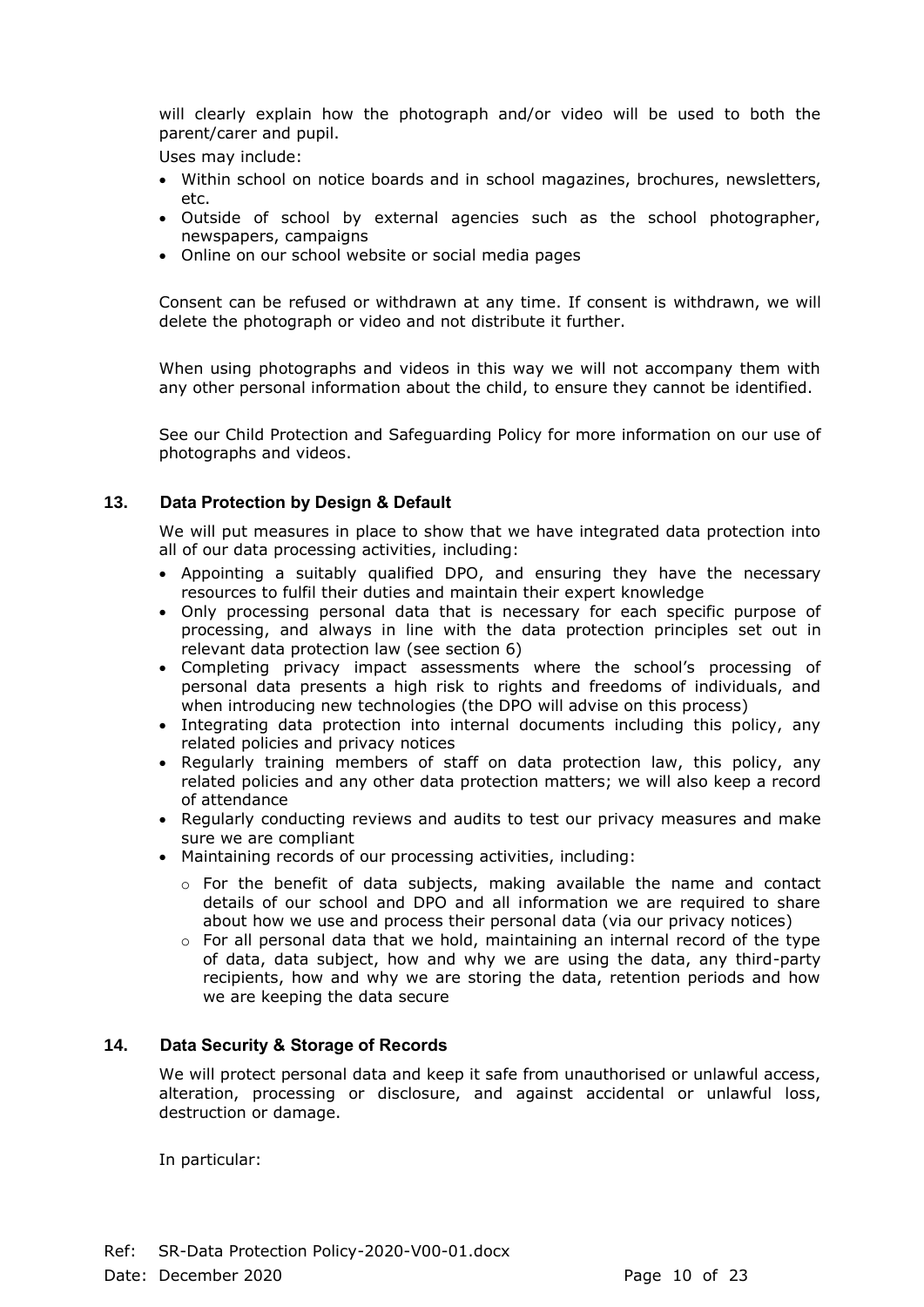will clearly explain how the photograph and/or video will be used to both the parent/carer and pupil.

Uses may include:

- Within school on notice boards and in school magazines, brochures, newsletters, etc.
- Outside of school by external agencies such as the school photographer, newspapers, campaigns
- Online on our school website or social media pages

Consent can be refused or withdrawn at any time. If consent is withdrawn, we will delete the photograph or video and not distribute it further.

When using photographs and videos in this way we will not accompany them with any other personal information about the child, to ensure they cannot be identified.

See our Child Protection and Safeguarding Policy for more information on our use of photographs and videos.

# **13. Data Protection by Design & Default**

We will put measures in place to show that we have integrated data protection into all of our data processing activities, including:

- Appointing a suitably qualified DPO, and ensuring they have the necessary resources to fulfil their duties and maintain their expert knowledge
- Only processing personal data that is necessary for each specific purpose of processing, and always in line with the data protection principles set out in relevant data protection law (see section 6)
- Completing privacy impact assessments where the school's processing of personal data presents a high risk to rights and freedoms of individuals, and when introducing new technologies (the DPO will advise on this process)
- Integrating data protection into internal documents including this policy, any related policies and privacy notices
- Regularly training members of staff on data protection law, this policy, any related policies and any other data protection matters; we will also keep a record of attendance
- Regularly conducting reviews and audits to test our privacy measures and make sure we are compliant
- Maintaining records of our processing activities, including:
	- $\circ$  For the benefit of data subjects, making available the name and contact details of our school and DPO and all information we are required to share about how we use and process their personal data (via our privacy notices)
	- $\circ$  For all personal data that we hold, maintaining an internal record of the type of data, data subject, how and why we are using the data, any third-party recipients, how and why we are storing the data, retention periods and how we are keeping the data secure

# **14. Data Security & Storage of Records**

We will protect personal data and keep it safe from unauthorised or unlawful access, alteration, processing or disclosure, and against accidental or unlawful loss, destruction or damage.

In particular: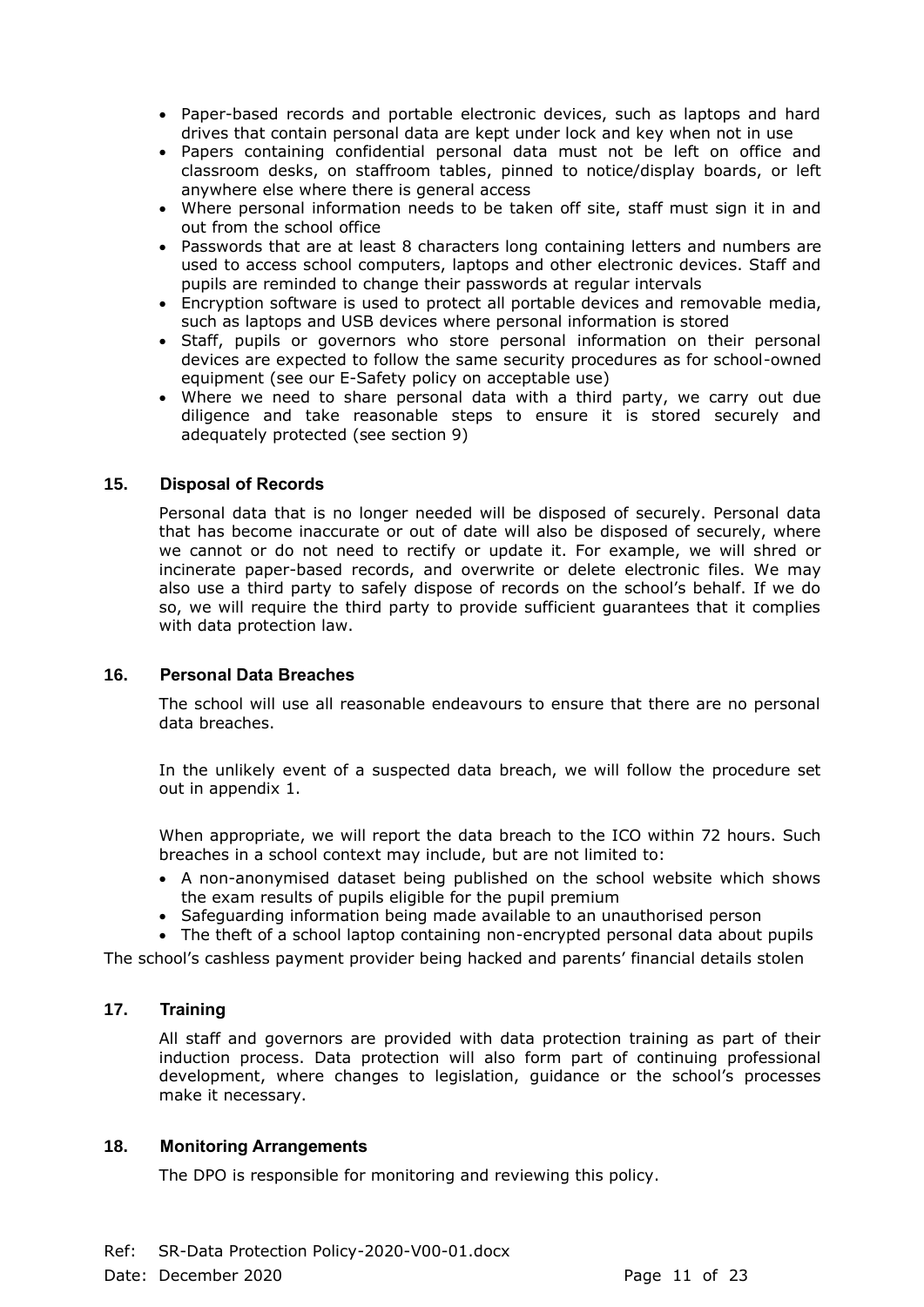- Paper-based records and portable electronic devices, such as laptops and hard drives that contain personal data are kept under lock and key when not in use
- Papers containing confidential personal data must not be left on office and classroom desks, on staffroom tables, pinned to notice/display boards, or left anywhere else where there is general access
- Where personal information needs to be taken off site, staff must sign it in and out from the school office
- Passwords that are at least 8 characters long containing letters and numbers are used to access school computers, laptops and other electronic devices. Staff and pupils are reminded to change their passwords at regular intervals
- Encryption software is used to protect all portable devices and removable media, such as laptops and USB devices where personal information is stored
- Staff, pupils or governors who store personal information on their personal devices are expected to follow the same security procedures as for school-owned equipment (see our E-Safety policy on acceptable use)
- Where we need to share personal data with a third party, we carry out due diligence and take reasonable steps to ensure it is stored securely and adequately protected (see section 9)

# **15. Disposal of Records**

Personal data that is no longer needed will be disposed of securely. Personal data that has become inaccurate or out of date will also be disposed of securely, where we cannot or do not need to rectify or update it. For example, we will shred or incinerate paper-based records, and overwrite or delete electronic files. We may also use a third party to safely dispose of records on the school's behalf. If we do so, we will require the third party to provide sufficient guarantees that it complies with data protection law.

#### **16. Personal Data Breaches**

The school will use all reasonable endeavours to ensure that there are no personal data breaches.

In the unlikely event of a suspected data breach, we will follow the procedure set out in appendix 1.

When appropriate, we will report the data breach to the ICO within 72 hours. Such breaches in a school context may include, but are not limited to:

- A non-anonymised dataset being published on the school website which shows the exam results of pupils eligible for the pupil premium
- Safeguarding information being made available to an unauthorised person

• The theft of a school laptop containing non-encrypted personal data about pupils

The school's cashless payment provider being hacked and parents' financial details stolen

# **17. Training**

All staff and governors are provided with data protection training as part of their induction process. Data protection will also form part of continuing professional development, where changes to legislation, guidance or the school's processes make it necessary.

#### **18. Monitoring Arrangements**

The DPO is responsible for monitoring and reviewing this policy.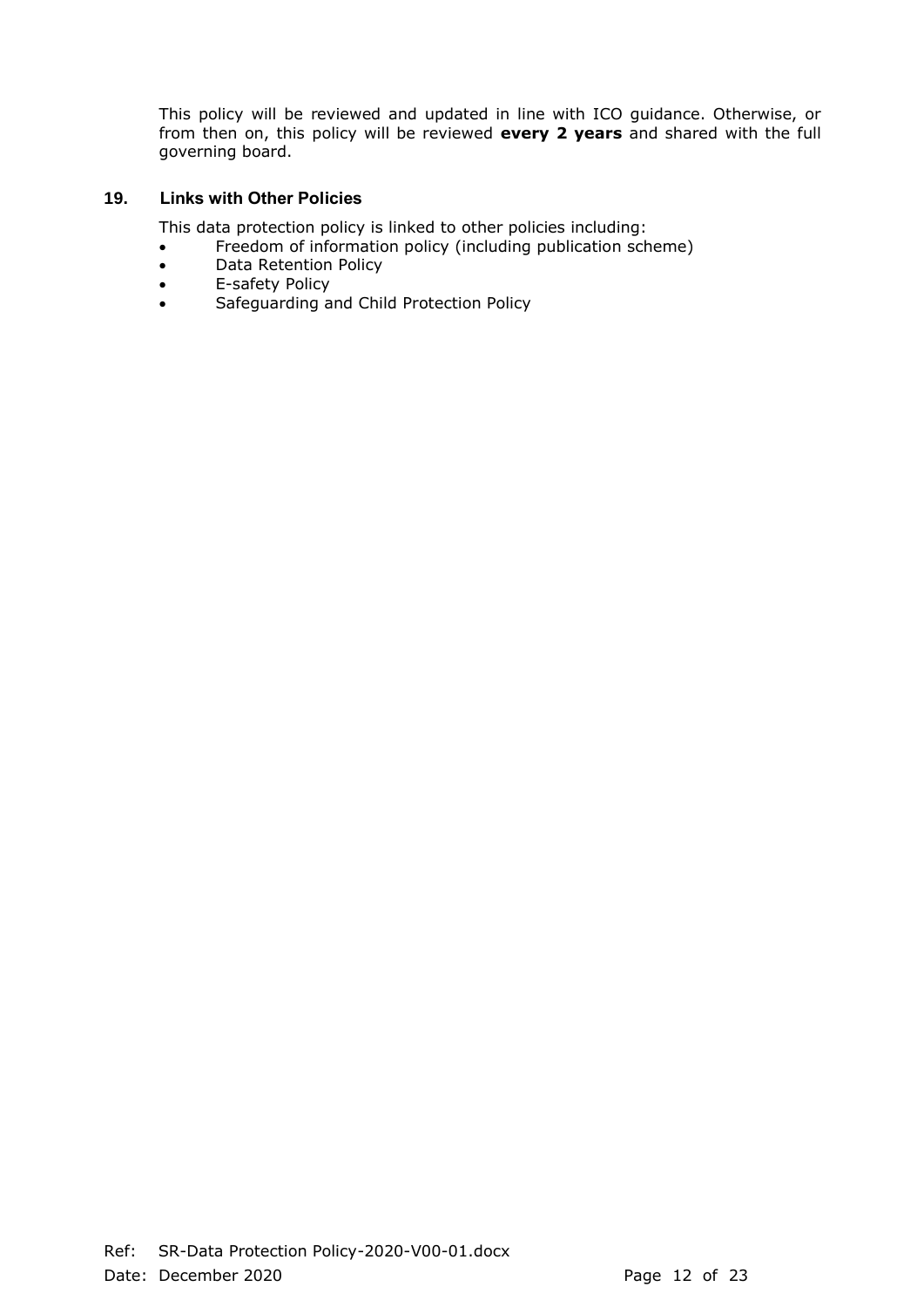This policy will be reviewed and updated in line with ICO guidance. Otherwise, or from then on, this policy will be reviewed **every 2 years** and shared with the full governing board.

# **19. Links with Other Policies**

This data protection policy is linked to other policies including:

- Freedom of information policy (including publication scheme)
- Data Retention Policy
- E-safety Policy
- Safeguarding and Child Protection Policy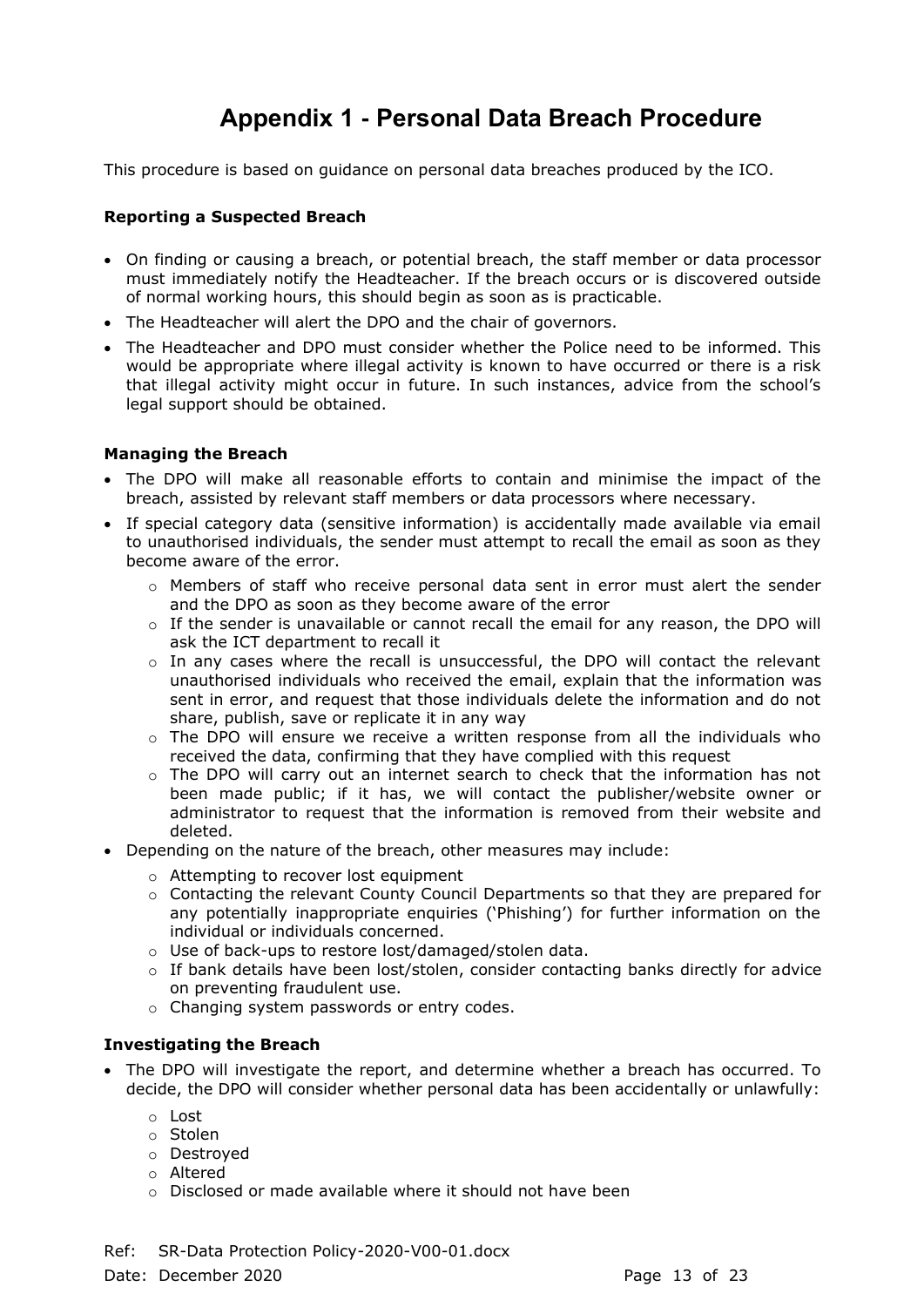# **Appendix 1 - Personal Data Breach Procedure**

This procedure is based on guidance on personal data breaches produced by the ICO.

# **Reporting a Suspected Breach**

- On finding or causing a breach, or potential breach, the staff member or data processor must immediately notify the Headteacher. If the breach occurs or is discovered outside of normal working hours, this should begin as soon as is practicable.
- The Headteacher will alert the DPO and the chair of governors.
- The Headteacher and DPO must consider whether the Police need to be informed. This would be appropriate where illegal activity is known to have occurred or there is a risk that illegal activity might occur in future. In such instances, advice from the school's legal support should be obtained.

# **Managing the Breach**

- The DPO will make all reasonable efforts to contain and minimise the impact of the breach, assisted by relevant staff members or data processors where necessary.
- If special category data (sensitive information) is accidentally made available via email to unauthorised individuals, the sender must attempt to recall the email as soon as they become aware of the error.
	- o Members of staff who receive personal data sent in error must alert the sender and the DPO as soon as they become aware of the error
	- $\circ$  If the sender is unavailable or cannot recall the email for any reason, the DPO will ask the ICT department to recall it
	- $\circ$  In any cases where the recall is unsuccessful, the DPO will contact the relevant unauthorised individuals who received the email, explain that the information was sent in error, and request that those individuals delete the information and do not share, publish, save or replicate it in any way
	- $\circ$  The DPO will ensure we receive a written response from all the individuals who received the data, confirming that they have complied with this request
	- $\circ$  The DPO will carry out an internet search to check that the information has not been made public; if it has, we will contact the publisher/website owner or administrator to request that the information is removed from their website and deleted.
- Depending on the nature of the breach, other measures may include:
	- o Attempting to recover lost equipment
	- o Contacting the relevant County Council Departments so that they are prepared for any potentially inappropriate enquiries ('Phishing') for further information on the individual or individuals concerned.
	- o Use of back-ups to restore lost/damaged/stolen data.
	- $\circ$  If bank details have been lost/stolen, consider contacting banks directly for advice on preventing fraudulent use.
	- o Changing system passwords or entry codes.

# **Investigating the Breach**

- The DPO will investigate the report, and determine whether a breach has occurred. To decide, the DPO will consider whether personal data has been accidentally or unlawfully:
	- o Lost
	- o Stolen
	- o Destroyed
	- o Altered
	- o Disclosed or made available where it should not have been
- Ref: SR-Data Protection Policy-2020-V00-01.docx

Date: December 2020 **Page 13 of 23**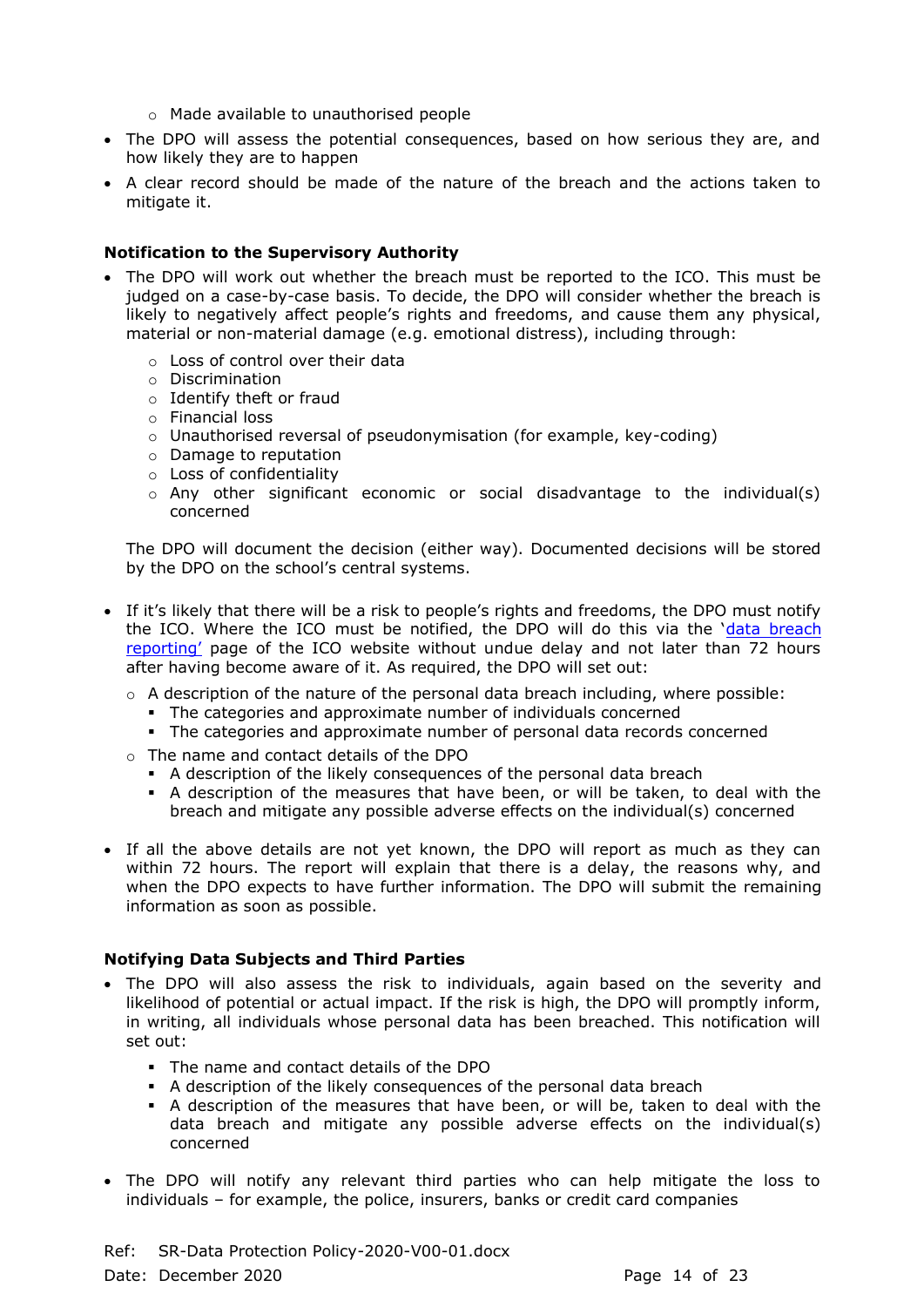- o Made available to unauthorised people
- The DPO will assess the potential consequences, based on how serious they are, and how likely they are to happen
- A clear record should be made of the nature of the breach and the actions taken to mitigate it.

# **Notification to the Supervisory Authority**

- The DPO will work out whether the breach must be reported to the ICO. This must be judged on a case-by-case basis. To decide, the DPO will consider whether the breach is likely to negatively affect people's rights and freedoms, and cause them any physical, material or non-material damage (e.g. emotional distress), including through:
	- o Loss of control over their data
	- o Discrimination
	- o Identify theft or fraud
	- o Financial loss
	- o Unauthorised reversal of pseudonymisation (for example, key-coding)
	- o Damage to reputation
	- o Loss of confidentiality
	- $\circ$  Any other significant economic or social disadvantage to the individual(s) concerned

The DPO will document the decision (either way). Documented decisions will be stored by the DPO on the school's central systems.

- If it's likely that there will be a risk to people's rights and freedoms, the DPO must notify the ICO. Where the ICO must be notified, the DPO will do this via the '[data breach](https://ico.org.uk/for-organisations/report-a-breach/personal-data-breach/)  [reporting'](https://ico.org.uk/for-organisations/report-a-breach/personal-data-breach/) page of the ICO website without undue delay and not later than 72 hours after having become aware of it. As required, the DPO will set out:
	- o A description of the nature of the personal data breach including, where possible:
		- **The categories and approximate number of individuals concerned**
		- **•** The categories and approximate number of personal data records concerned
	- o The name and contact details of the DPO
		- A description of the likely consequences of the personal data breach
		- A description of the measures that have been, or will be taken, to deal with the breach and mitigate any possible adverse effects on the individual(s) concerned
- If all the above details are not yet known, the DPO will report as much as they can within 72 hours. The report will explain that there is a delay, the reasons why, and when the DPO expects to have further information. The DPO will submit the remaining information as soon as possible.

# **Notifying Data Subjects and Third Parties**

- The DPO will also assess the risk to individuals, again based on the severity and likelihood of potential or actual impact. If the risk is high, the DPO will promptly inform, in writing, all individuals whose personal data has been breached. This notification will set out:
	- The name and contact details of the DPO
	- A description of the likely consequences of the personal data breach
	- A description of the measures that have been, or will be, taken to deal with the data breach and mitigate any possible adverse effects on the individual(s) concerned
- The DPO will notify any relevant third parties who can help mitigate the loss to individuals – for example, the police, insurers, banks or credit card companies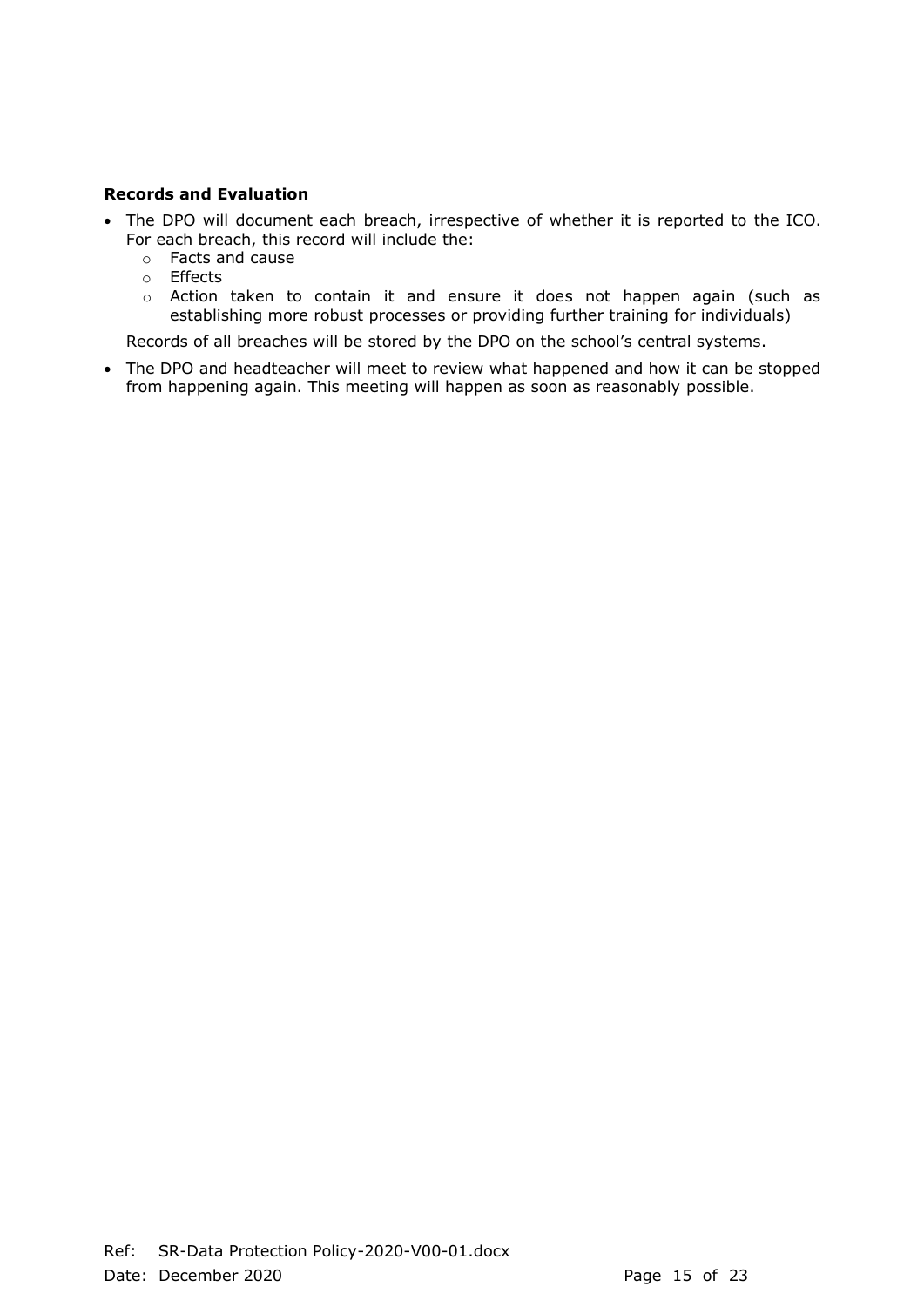# **Records and Evaluation**

- The DPO will document each breach, irrespective of whether it is reported to the ICO. For each breach, this record will include the:
	- o Facts and cause
	- o Effects
	- o Action taken to contain it and ensure it does not happen again (such as establishing more robust processes or providing further training for individuals)

Records of all breaches will be stored by the DPO on the school's central systems.

• The DPO and headteacher will meet to review what happened and how it can be stopped from happening again. This meeting will happen as soon as reasonably possible.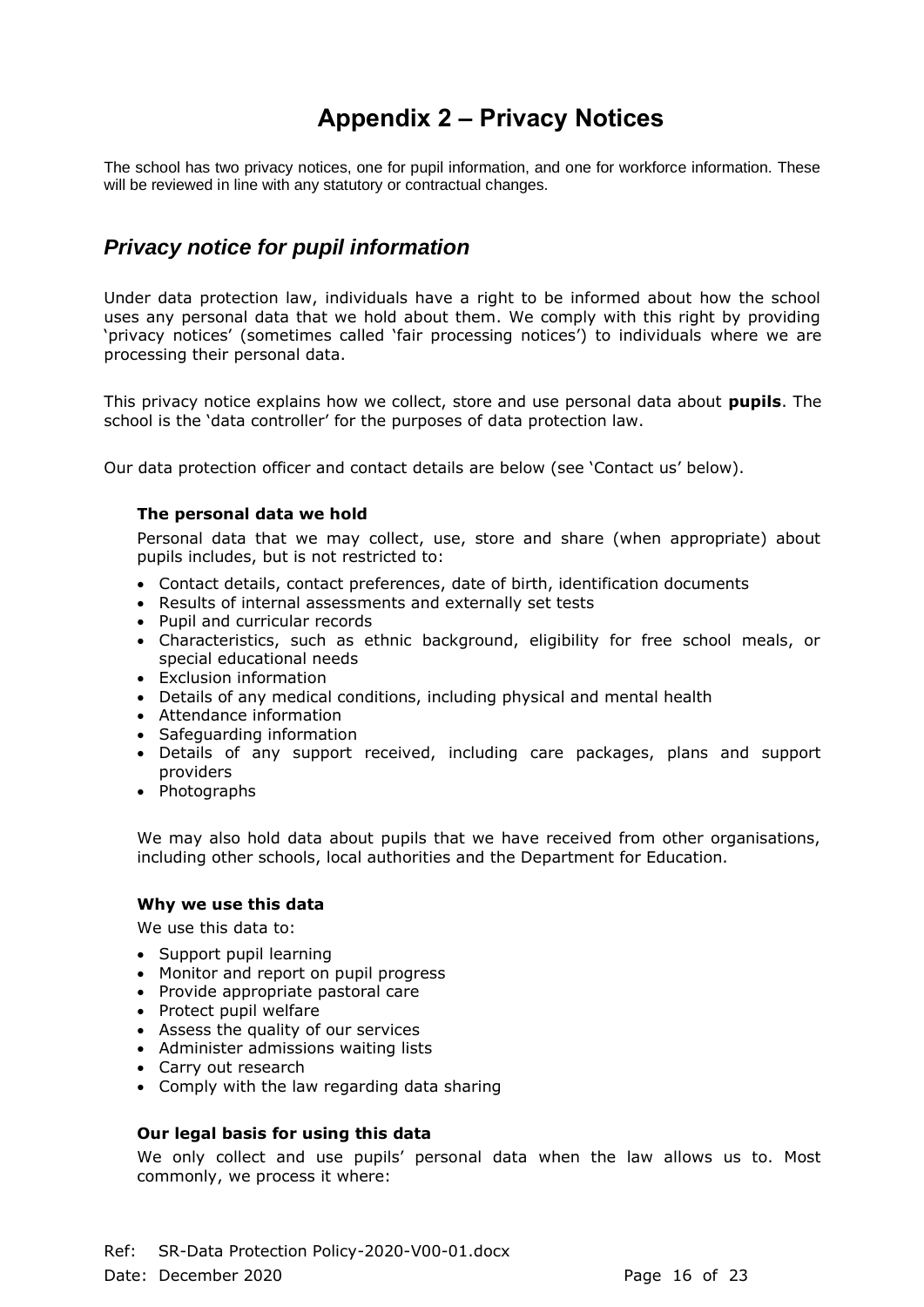# **Appendix 2 – Privacy Notices**

The school has two privacy notices, one for pupil information, and one for workforce information. These will be reviewed in line with any statutory or contractual changes.

# *Privacy notice for pupil information*

Under data protection law, individuals have a right to be informed about how the school uses any personal data that we hold about them. We comply with this right by providing 'privacy notices' (sometimes called 'fair processing notices') to individuals where we are processing their personal data.

This privacy notice explains how we collect, store and use personal data about **pupils**. The school is the 'data controller' for the purposes of data protection law.

Our data protection officer and contact details are below (see 'Contact us' below).

#### **The personal data we hold**

Personal data that we may collect, use, store and share (when appropriate) about pupils includes, but is not restricted to:

- Contact details, contact preferences, date of birth, identification documents
- Results of internal assessments and externally set tests
- Pupil and curricular records
- Characteristics, such as ethnic background, eligibility for free school meals, or special educational needs
- Exclusion information
- Details of any medical conditions, including physical and mental health
- Attendance information
- Safeguarding information
- Details of any support received, including care packages, plans and support providers
- Photographs

We may also hold data about pupils that we have received from other organisations, including other schools, local authorities and the Department for Education.

#### **Why we use this data**

We use this data to:

- Support pupil learning
- Monitor and report on pupil progress
- Provide appropriate pastoral care
- Protect pupil welfare
- Assess the quality of our services
- Administer admissions waiting lists
- Carry out research
- Comply with the law regarding data sharing

# **Our legal basis for using this data**

We only collect and use pupils' personal data when the law allows us to. Most commonly, we process it where: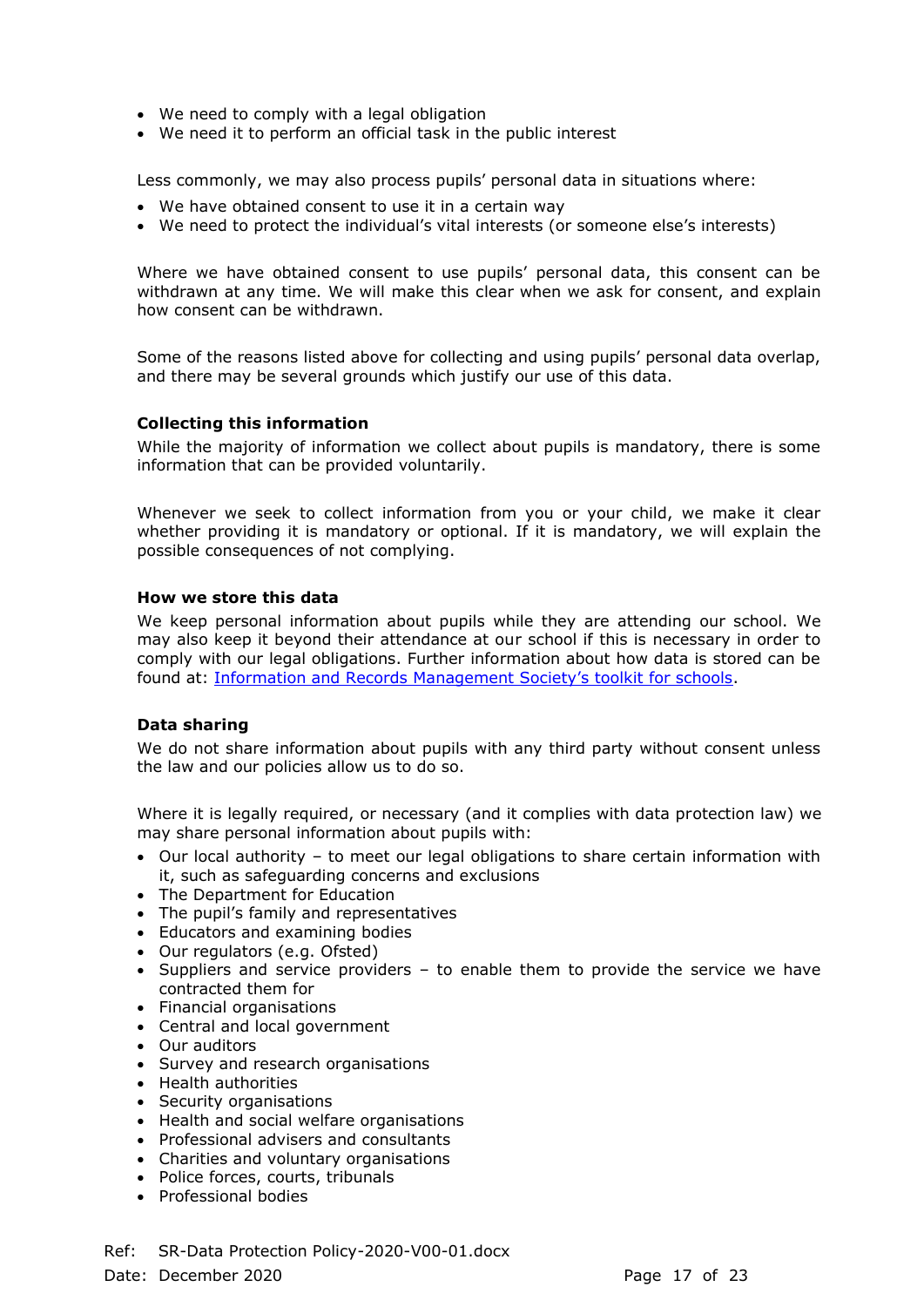- We need to comply with a legal obligation
- We need it to perform an official task in the public interest

Less commonly, we may also process pupils' personal data in situations where:

- We have obtained consent to use it in a certain way
- We need to protect the individual's vital interests (or someone else's interests)

Where we have obtained consent to use pupils' personal data, this consent can be withdrawn at any time. We will make this clear when we ask for consent, and explain how consent can be withdrawn.

Some of the reasons listed above for collecting and using pupils' personal data overlap, and there may be several grounds which justify our use of this data.

#### **Collecting this information**

While the majority of information we collect about pupils is mandatory, there is some information that can be provided voluntarily.

Whenever we seek to collect information from you or your child, we make it clear whether providing it is mandatory or optional. If it is mandatory, we will explain the possible consequences of not complying.

#### **How we store this data**

We keep personal information about pupils while they are attending our school. We may also keep it beyond their attendance at our school if this is necessary in order to comply with our legal obligations. Further information about how data is stored can be found at: Information and Records Ma[nagement Society's toolkit for schools](http://irms.org.uk/?page=schoolstoolkit&terms=%22toolkit+and+schools%22).

#### **Data sharing**

We do not share information about pupils with any third party without consent unless the law and our policies allow us to do so.

Where it is legally required, or necessary (and it complies with data protection law) we may share personal information about pupils with:

- Our local authority to meet our legal obligations to share certain information with it, such as safeguarding concerns and exclusions
- The Department for Education
- The pupil's family and representatives
- Educators and examining bodies
- Our regulators (e.g. Ofsted)
- Suppliers and service providers to enable them to provide the service we have contracted them for
- Financial organisations
- Central and local government
- Our auditors
- Survey and research organisations
- Health authorities
- Security organisations
- Health and social welfare organisations
- Professional advisers and consultants
- Charities and voluntary organisations
- Police forces, courts, tribunals
- Professional bodies

Ref: SR-Data Protection Policy-2020-V00-01.docx

Date: December 2020 **Page 17** of 23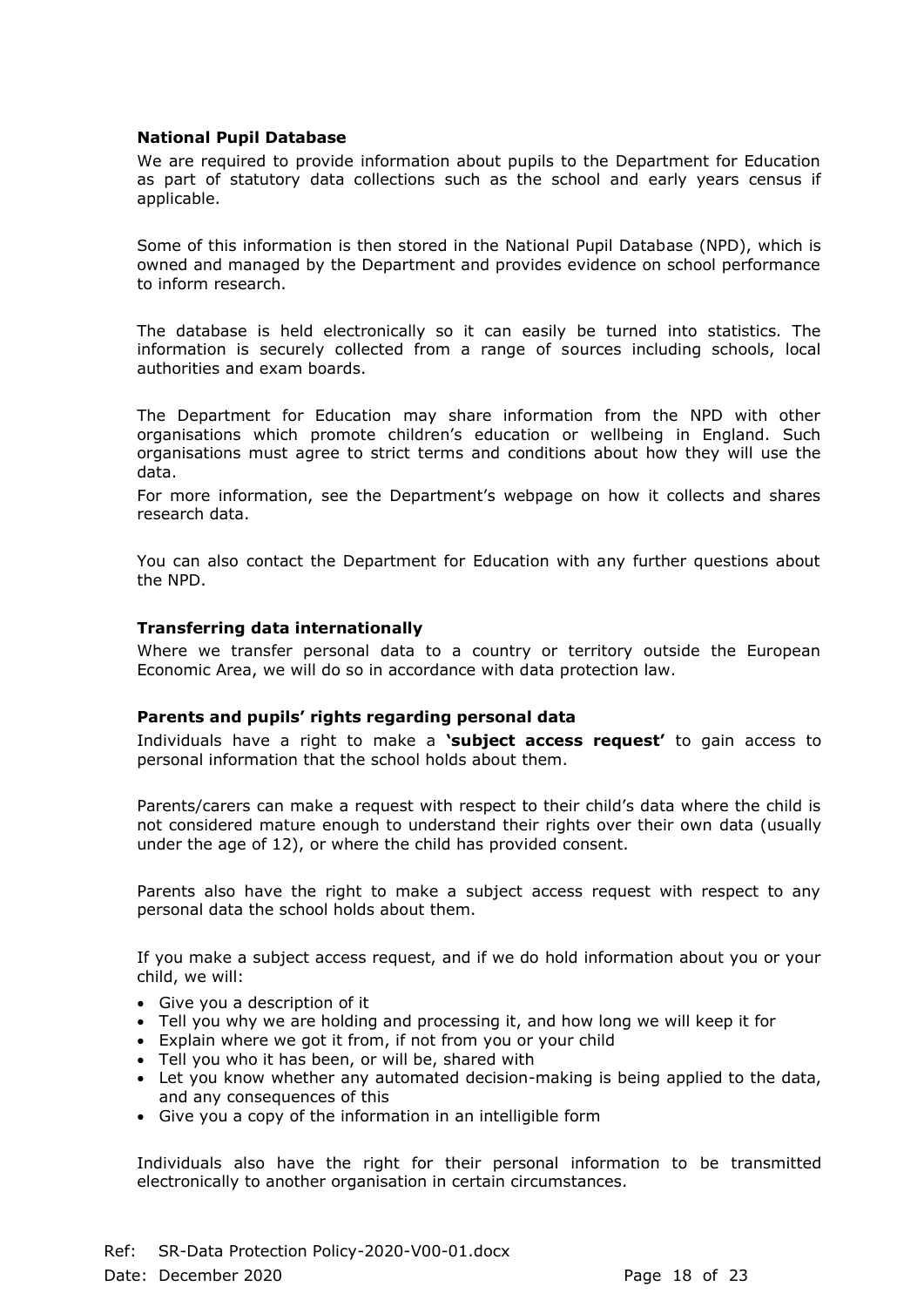# **National Pupil Database**

We are required to provide information about pupils to the Department for Education as part of statutory data collections such as the school and early years census if applicable.

Some of this information is then stored in the National Pupil Database (NPD), which is owned and managed by the Department and provides evidence on school performance to inform research.

The database is held electronically so it can easily be turned into statistics. The information is securely collected from a range of sources including schools, local authorities and exam boards.

The Department for Education may share information from the NPD with other organisations which promote children's education or wellbeing in England. Such organisations must agree to strict terms and conditions about how they will use the data.

For more information, see the Department's webpage on how it collects and shares research data.

You can also contact the Department for Education with any further questions about the NPD.

#### **Transferring data internationally**

Where we transfer personal data to a country or territory outside the European Economic Area, we will do so in accordance with data protection law.

#### **Parents and pupils' rights regarding personal data**

Individuals have a right to make a **'subject access request'** to gain access to personal information that the school holds about them.

Parents/carers can make a request with respect to their child's data where the child is not considered mature enough to understand their rights over their own data (usually under the age of 12), or where the child has provided consent.

Parents also have the right to make a subject access request with respect to any personal data the school holds about them.

If you make a subject access request, and if we do hold information about you or your child, we will:

- Give you a description of it
- Tell you why we are holding and processing it, and how long we will keep it for
- Explain where we got it from, if not from you or your child
- Tell you who it has been, or will be, shared with
- Let you know whether any automated decision-making is being applied to the data, and any consequences of this
- Give you a copy of the information in an intelligible form

Individuals also have the right for their personal information to be transmitted electronically to another organisation in certain circumstances.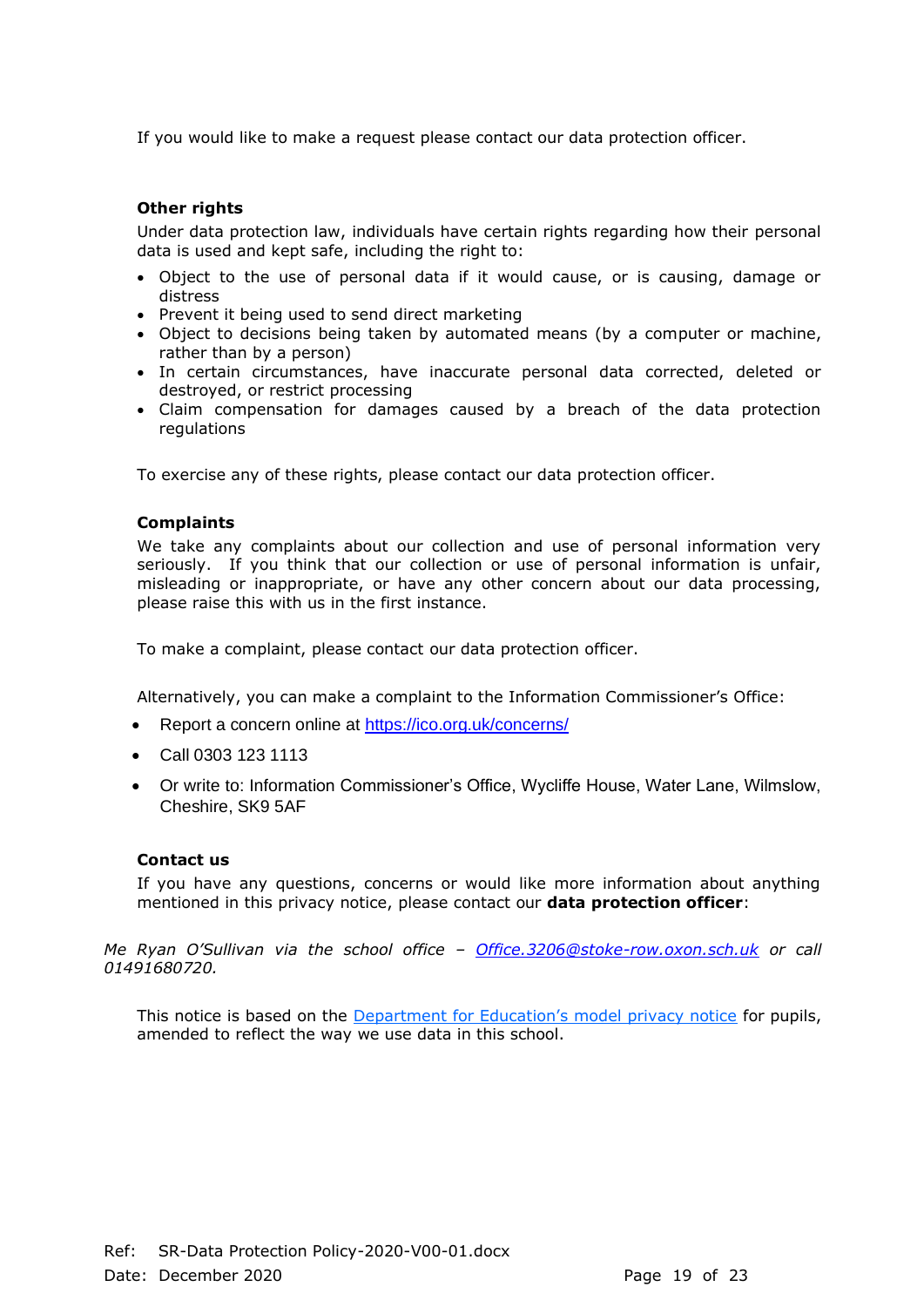If you would like to make a request please contact our data protection officer.

# **Other rights**

Under data protection law, individuals have certain rights regarding how their personal data is used and kept safe, including the right to:

- Object to the use of personal data if it would cause, or is causing, damage or distress
- Prevent it being used to send direct marketing
- Object to decisions being taken by automated means (by a computer or machine, rather than by a person)
- In certain circumstances, have inaccurate personal data corrected, deleted or destroyed, or restrict processing
- Claim compensation for damages caused by a breach of the data protection regulations

To exercise any of these rights, please contact our data protection officer.

#### **Complaints**

We take any complaints about our collection and use of personal information very seriously. If you think that our collection or use of personal information is unfair, misleading or inappropriate, or have any other concern about our data processing, please raise this with us in the first instance.

To make a complaint, please contact our data protection officer.

Alternatively, you can make a complaint to the Information Commissioner's Office:

- Report a concern online at<https://ico.org.uk/concerns/>
- Call 0303 123 1113
- Or write to: Information Commissioner's Office, Wycliffe House, Water Lane, Wilmslow, Cheshire, SK9 5AF

#### **Contact us**

If you have any questions, concerns or would like more information about anything mentioned in this privacy notice, please contact our **data protection officer**:

*Me Ryan O'Sullivan via the school office – [Office.3206@stoke-row.oxon.sch.uk](mailto:Office.3206@stoke-row.oxon.sch.uk) or call 01491680720.*

This notice is based on the [Department for Education's model privacy notice](https://www.gov.uk/government/publications/data-protection-and-privacy-privacy-notices) for pupils, amended to reflect the way we use data in this school.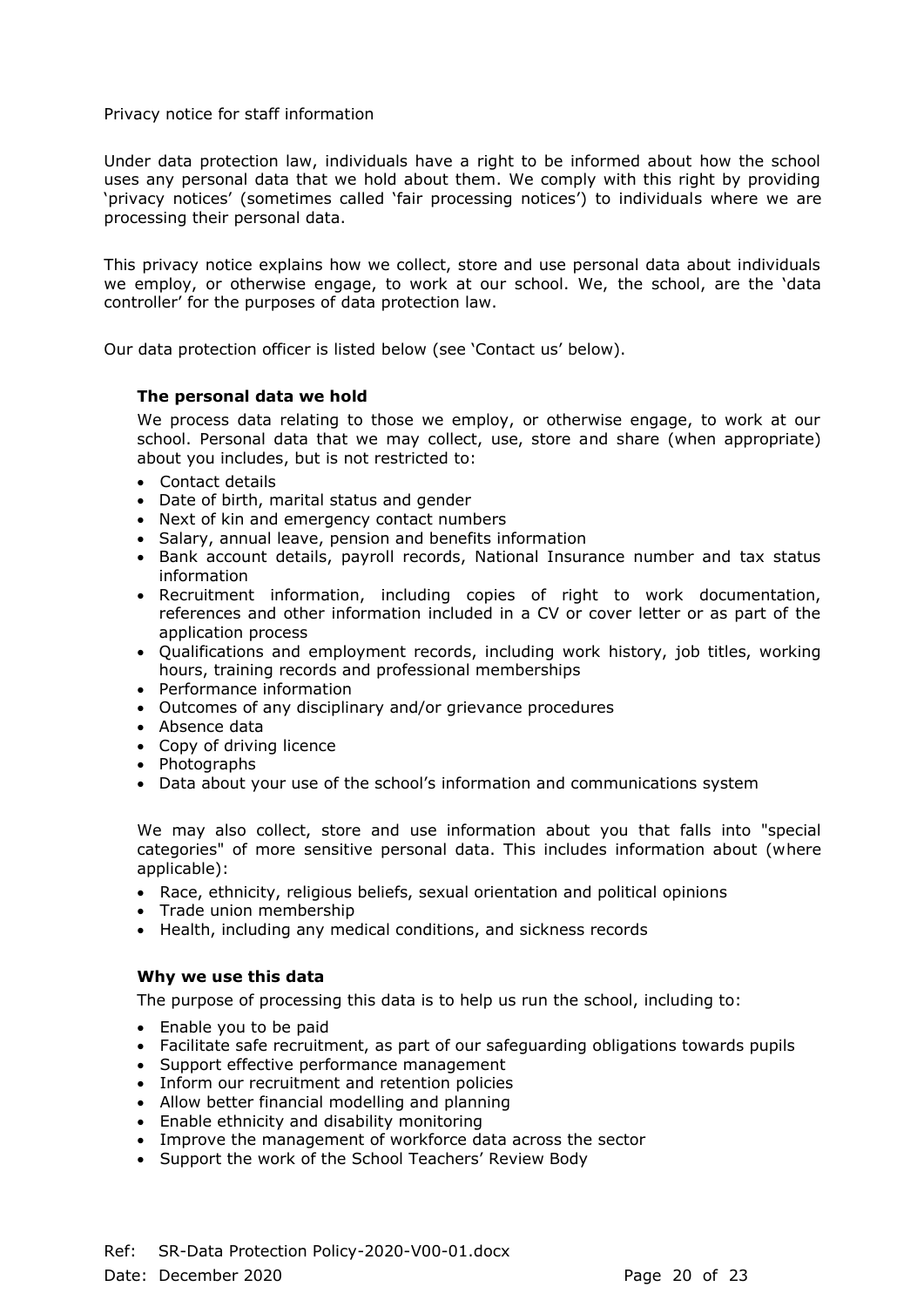# Privacy notice for staff information

Under data protection law, individuals have a right to be informed about how the school uses any personal data that we hold about them. We comply with this right by providing 'privacy notices' (sometimes called 'fair processing notices') to individuals where we are processing their personal data.

This privacy notice explains how we collect, store and use personal data about individuals we employ, or otherwise engage, to work at our school. We, the school, are the 'data controller' for the purposes of data protection law.

Our data protection officer is listed below (see 'Contact us' below).

# **The personal data we hold**

We process data relating to those we employ, or otherwise engage, to work at our school. Personal data that we may collect, use, store and share (when appropriate) about you includes, but is not restricted to:

- Contact details
- Date of birth, marital status and gender
- Next of kin and emergency contact numbers
- Salary, annual leave, pension and benefits information
- Bank account details, payroll records, National Insurance number and tax status information
- Recruitment information, including copies of right to work documentation, references and other information included in a CV or cover letter or as part of the application process
- Qualifications and employment records, including work history, job titles, working hours, training records and professional memberships
- Performance information
- Outcomes of any disciplinary and/or grievance procedures
- Absence data
- Copy of driving licence
- Photographs
- Data about your use of the school's information and communications system

We may also collect, store and use information about you that falls into "special categories" of more sensitive personal data. This includes information about (where applicable):

- Race, ethnicity, religious beliefs, sexual orientation and political opinions
- Trade union membership
- Health, including any medical conditions, and sickness records

# **Why we use this data**

The purpose of processing this data is to help us run the school, including to:

- Enable you to be paid
- Facilitate safe recruitment, as part of our safeguarding obligations towards pupils
- Support effective performance management
- Inform our recruitment and retention policies
- Allow better financial modelling and planning
- Enable ethnicity and disability monitoring
- Improve the management of workforce data across the sector
- Support the work of the School Teachers' Review Body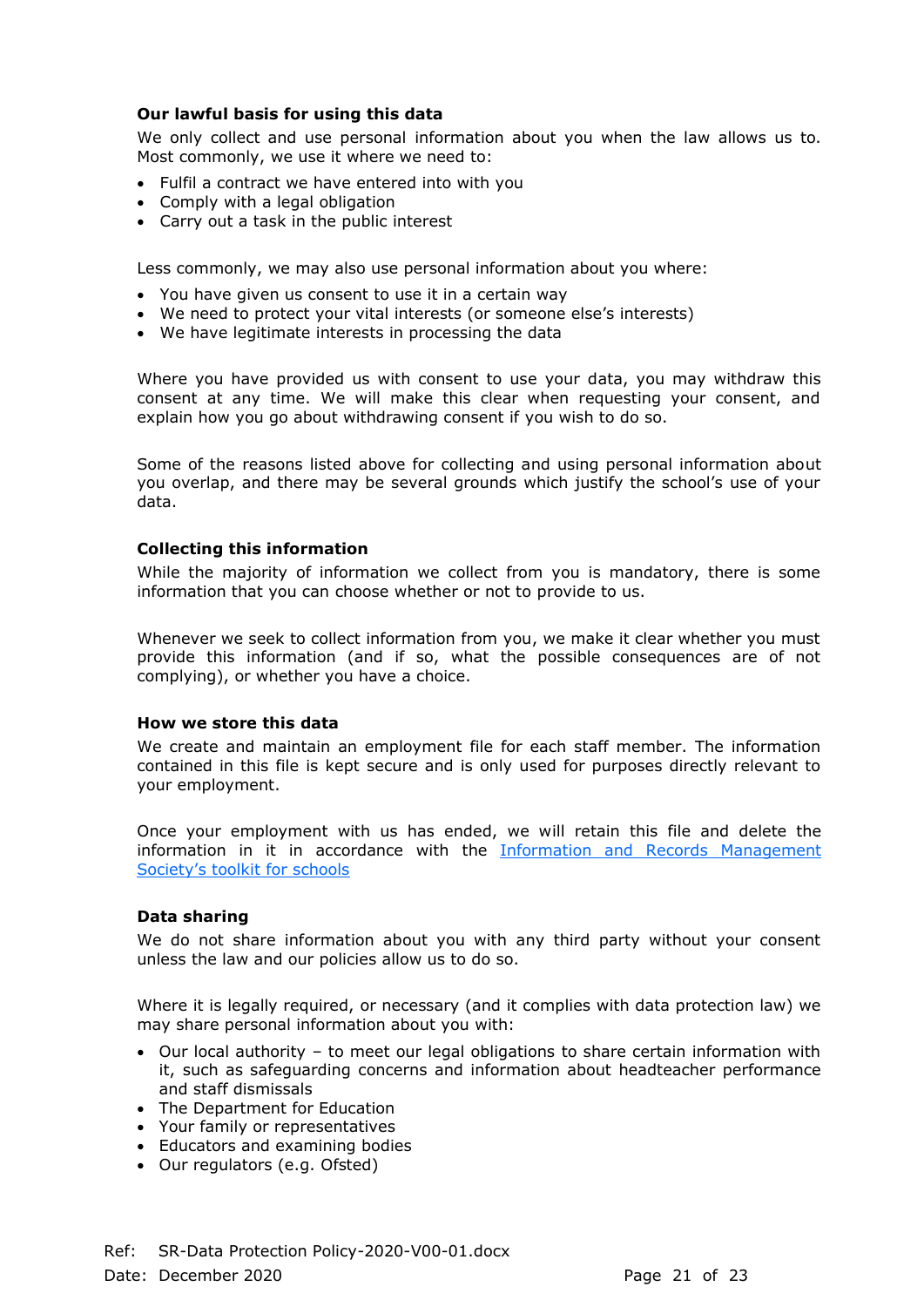# **Our lawful basis for using this data**

We only collect and use personal information about you when the law allows us to. Most commonly, we use it where we need to:

- Fulfil a contract we have entered into with you
- Comply with a legal obligation
- Carry out a task in the public interest

Less commonly, we may also use personal information about you where:

- You have given us consent to use it in a certain way
- We need to protect your vital interests (or someone else's interests)
- We have legitimate interests in processing the data

Where you have provided us with consent to use your data, you may withdraw this consent at any time. We will make this clear when requesting your consent, and explain how you go about withdrawing consent if you wish to do so.

Some of the reasons listed above for collecting and using personal information about you overlap, and there may be several grounds which justify the school's use of your data.

#### **Collecting this information**

While the majority of information we collect from you is mandatory, there is some information that you can choose whether or not to provide to us.

Whenever we seek to collect information from you, we make it clear whether you must provide this information (and if so, what the possible consequences are of not complying), or whether you have a choice.

#### **How we store this data**

We create and maintain an employment file for each staff member. The information contained in this file is kept secure and is only used for purposes directly relevant to your employment.

Once your employment with us has ended, we will retain this file and delete the information in it in accordance with the [Information and Records Management](http://irms.org.uk/?page=schoolstoolkit&terms=%22toolkit+and+schools%22)  [Society's toolkit for schools](http://irms.org.uk/?page=schoolstoolkit&terms=%22toolkit+and+schools%22)

#### **Data sharing**

We do not share information about you with any third party without your consent unless the law and our policies allow us to do so.

Where it is legally required, or necessary (and it complies with data protection law) we may share personal information about you with:

- Our local authority to meet our legal obligations to share certain information with it, such as safeguarding concerns and information about headteacher performance and staff dismissals
- The Department for Education
- Your family or representatives
- Educators and examining bodies
- Our regulators (e.g. Ofsted)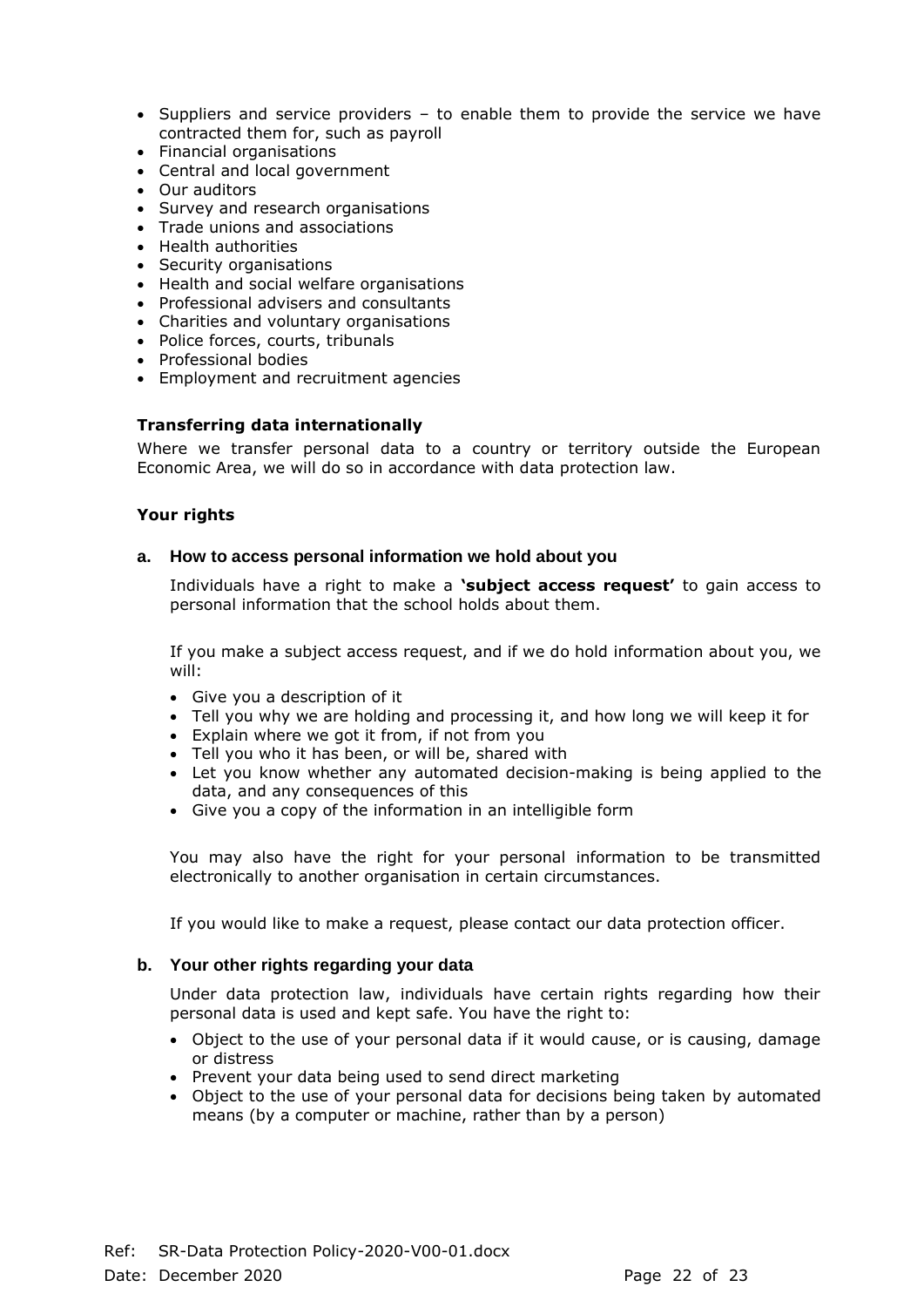- Suppliers and service providers to enable them to provide the service we have contracted them for, such as payroll
- Financial organisations
- Central and local government
- Our auditors
- Survey and research organisations
- Trade unions and associations
- Health authorities
- Security organisations
- Health and social welfare organisations
- Professional advisers and consultants
- Charities and voluntary organisations
- Police forces, courts, tribunals
- Professional bodies
- Employment and recruitment agencies

#### **Transferring data internationally**

Where we transfer personal data to a country or territory outside the European Economic Area, we will do so in accordance with data protection law.

#### **Your rights**

#### **a. How to access personal information we hold about you**

Individuals have a right to make a **'subject access request'** to gain access to personal information that the school holds about them.

If you make a subject access request, and if we do hold information about you, we will:

- Give you a description of it
- Tell you why we are holding and processing it, and how long we will keep it for
- Explain where we got it from, if not from you
- Tell you who it has been, or will be, shared with
- Let you know whether any automated decision-making is being applied to the data, and any consequences of this
- Give you a copy of the information in an intelligible form

You may also have the right for your personal information to be transmitted electronically to another organisation in certain circumstances.

If you would like to make a request, please contact our data protection officer.

#### **b. Your other rights regarding your data**

Under data protection law, individuals have certain rights regarding how their personal data is used and kept safe. You have the right to:

- Object to the use of your personal data if it would cause, or is causing, damage or distress
- Prevent your data being used to send direct marketing
- Object to the use of your personal data for decisions being taken by automated means (by a computer or machine, rather than by a person)